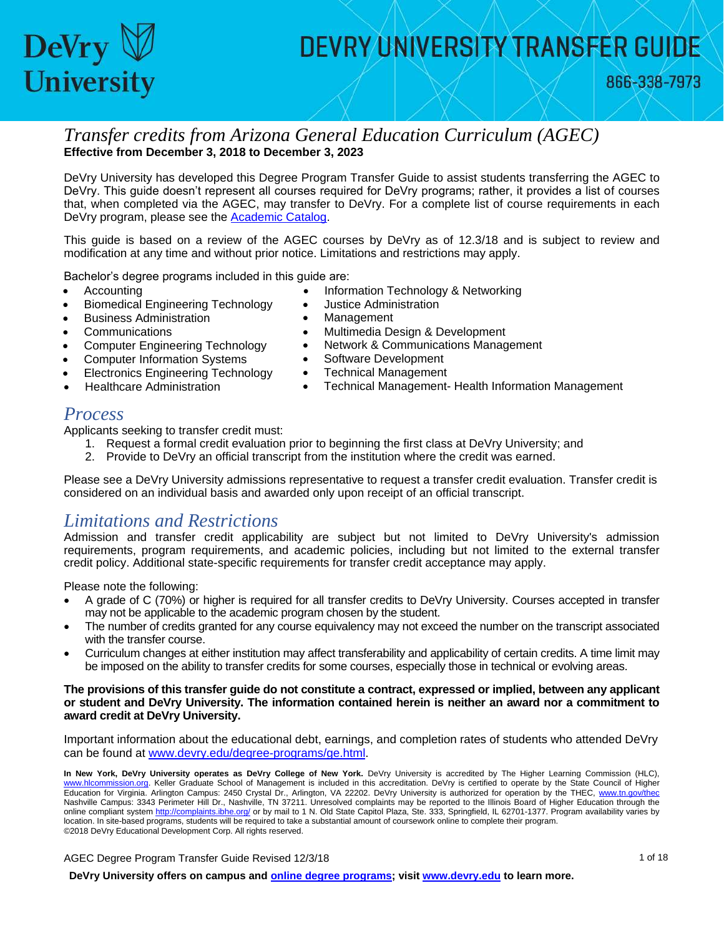

866-338-7973

#### *Transfer credits from Arizona General Education Curriculum (AGEC)*  **Effective from December 3, 2018 to December 3, 2023**

 DeVry University has developed this Degree Program Transfer Guide to assist students transferring the AGEC to DeVry. This guide doesn't represent all courses required for DeVry programs; rather, it provides a list of courses that, when completed via the AGEC, may transfer to DeVry. For a complete list of course requirements in each DeVry program, please see the [Academic Catalog.](http://www.devry.edu/catalogs)

 This guide is based on a review of the AGEC courses by DeVry as of 12.3/18 and is subject to review and modification at any time and without prior notice. Limitations and restrictions may apply.

Bachelor's degree programs included in this guide are:

- - Accounting **Information Technology & Networking**
	- Biomedical Engineering Technology Justice Administration
		-
- 
- 
- Computer Information Systems Software Development
- Electronics Engineering Technology Technical Management
- 
- Business Administration **Constanting Construction Management**
- Communications **Communications Multimedia Design & Development**
- Computer Engineering Technology Network & Communications Management
	-
	-
- Healthcare Administration **•** Technical Management- Health Information Management

#### *Process*

Applicants seeking to transfer credit must:

- 1. Request a formal credit evaluation prior to beginning the first class at DeVry University; and
- 2. Provide to DeVry an official transcript from the institution where the credit was earned.

Please see a DeVry University admissions representative to request a transfer credit evaluation. Transfer credit is considered on an individual basis and awarded only upon receipt of an official transcript.

#### *Limitations and Restrictions*

 Admission and transfer credit applicability are subject but not limited to DeVry University's admission requirements, program requirements, and academic policies, including but not limited to the external transfer credit policy. Additional state-specific requirements for transfer credit acceptance may apply.

Please note the following:

- may not be applicable to the academic program chosen by the student. A grade of C (70%) or higher is required for all transfer credits to DeVry University. Courses accepted in transfer
- with the transfer course. The number of credits granted for any course equivalency may not exceed the number on the transcript associated
- Curriculum changes at either institution may affect transferability and applicability of certain credits. A time limit may be imposed on the ability to transfer credits for some courses, especially those in technical or evolving areas.

#### **The provisions of this transfer guide do not constitute a contract, expressed or implied, between any applicant or student and DeVry University. The information contained herein is neither an award nor a commitment to award credit at DeVry University.**

Important information about the educational debt, earnings, and completion rates of students who attended DeVry can be found at [www.devry.edu/degree-programs/ge.html.](http://www.devry.edu/degree-programs/ge.html)

 **In New York, DeVry University operates as DeVry College of New York.** DeVry University is accredited by The Higher Learning Commission (HLC), [www.hlcommission.org.](http://www.hlcommission.org/) Keller Graduate School of Management is included in this accreditation. DeVry is certified to operate by the State Council of Higher Education for Virginia. Arlington Campus: 2450 Crystal Dr., Arlington, VA 22202. DeVry University is authorized for operation by the THEC, www.tn.gov/thec Nashville Campus: 3343 Perimeter Hill Dr., Nashville, TN 37211. Unresolved complaints may be reported to the Illinois Board of Higher Education through the online compliant syste[m http://complaints.ibhe.org/](http://complaints.ibhe.org/) or by mail to 1 N. Old State Capitol Plaza, Ste. 333, Springfield, IL 62701-1377. Program availability varies by location. In site-based programs, students will be required to take a substantial amount of coursework online to complete their program. ©2018 DeVry Educational Development Corp. All rights reserved.

AGEC Degree Program Transfer Guide Revised 12/3/18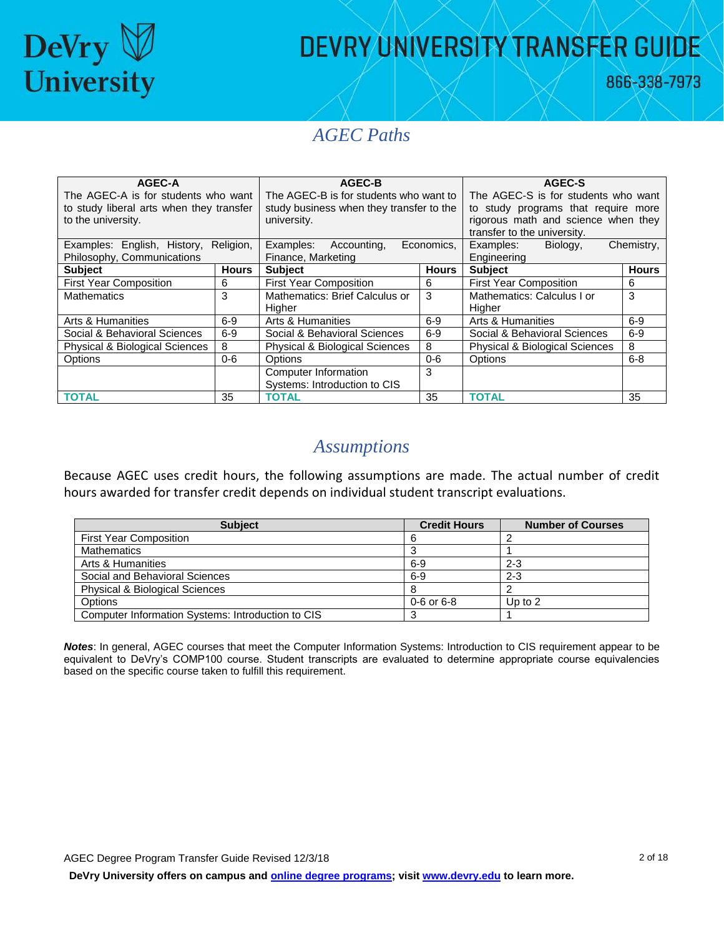

866-338-7973

#### *AGEC Paths*

| AGEC-A                                    |              | AGEC-B                                    |              | AGEC-S                                    |              |  |
|-------------------------------------------|--------------|-------------------------------------------|--------------|-------------------------------------------|--------------|--|
| The AGEC-A is for students who want       |              | The AGEC-B is for students who want to    |              | The AGEC-S is for students who want       |              |  |
| to study liberal arts when they transfer  |              | study business when they transfer to the  |              | to study programs that require more       |              |  |
| to the university.                        |              | university.                               |              | rigorous math and science when they       |              |  |
|                                           |              |                                           |              | transfer to the university.               |              |  |
| Examples: English, History,               | Religion,    | Examples:<br>Accounting,                  | Economics,   | Biology,<br>Examples:                     | Chemistry,   |  |
| Philosophy, Communications                |              | Finance, Marketing                        |              | Engineering                               |              |  |
| <b>Subject</b>                            | <b>Hours</b> | <b>Subject</b>                            | <b>Hours</b> | <b>Subject</b>                            | <b>Hours</b> |  |
| <b>First Year Composition</b>             | 6            | <b>First Year Composition</b>             | 6            | <b>First Year Composition</b>             | 6            |  |
| <b>Mathematics</b>                        | 3            | Mathematics: Brief Calculus or            | 3            | Mathematics: Calculus I or                | 3            |  |
|                                           |              | <b>Higher</b>                             |              | Higher                                    |              |  |
| Arts & Humanities                         | $6-9$        | Arts & Humanities                         | $6-9$        | Arts & Humanities                         | $6-9$        |  |
| Social & Behavioral Sciences              | $6-9$        | Social & Behavioral Sciences              | $6-9$        | Social & Behavioral Sciences              | $6-9$        |  |
| <b>Physical &amp; Biological Sciences</b> | 8            | <b>Physical &amp; Biological Sciences</b> | 8            | <b>Physical &amp; Biological Sciences</b> | 8            |  |
| Options                                   | $0-6$        | Options                                   | $0 - 6$      | Options                                   | $6 - 8$      |  |
|                                           |              | Computer Information                      | 3            |                                           |              |  |
|                                           |              | Systems: Introduction to CIS              |              |                                           |              |  |
| <b>TOTAL</b>                              | 35           | <b>TOTAL</b>                              | 35           | <b>TOTAL</b>                              | 35           |  |

#### *Assumptions*

 hours awarded for transfer credit depends on individual student transcript evaluations. Because AGEC uses credit hours, the following assumptions are made. The actual number of credit

| <b>Subject</b>                                    | <b>Credit Hours</b> | <b>Number of Courses</b> |
|---------------------------------------------------|---------------------|--------------------------|
| <b>First Year Composition</b>                     |                     |                          |
| Mathematics                                       |                     |                          |
| Arts & Humanities                                 | $6-9$               | $2 - 3$                  |
| Social and Behavioral Sciences                    | $6-9$               | $2 - 3$                  |
| <b>Physical &amp; Biological Sciences</b>         |                     |                          |
| <b>Options</b>                                    | $0 - 6$ or 6-8      | Up to $2$                |
| Computer Information Systems: Introduction to CIS |                     |                          |

 *Notes*: In general, AGEC courses that meet the Computer Information Systems: Introduction to CIS requirement appear to be equivalent to DeVry's COMP100 course. Student transcripts are evaluated to determine appropriate course equivalencies based on the specific course taken to fulfill this requirement. based on the specific course taken to fulfill this requirement.<br>AGEC Degree Program Transfer Guide Revised 12/3/18 2 of 18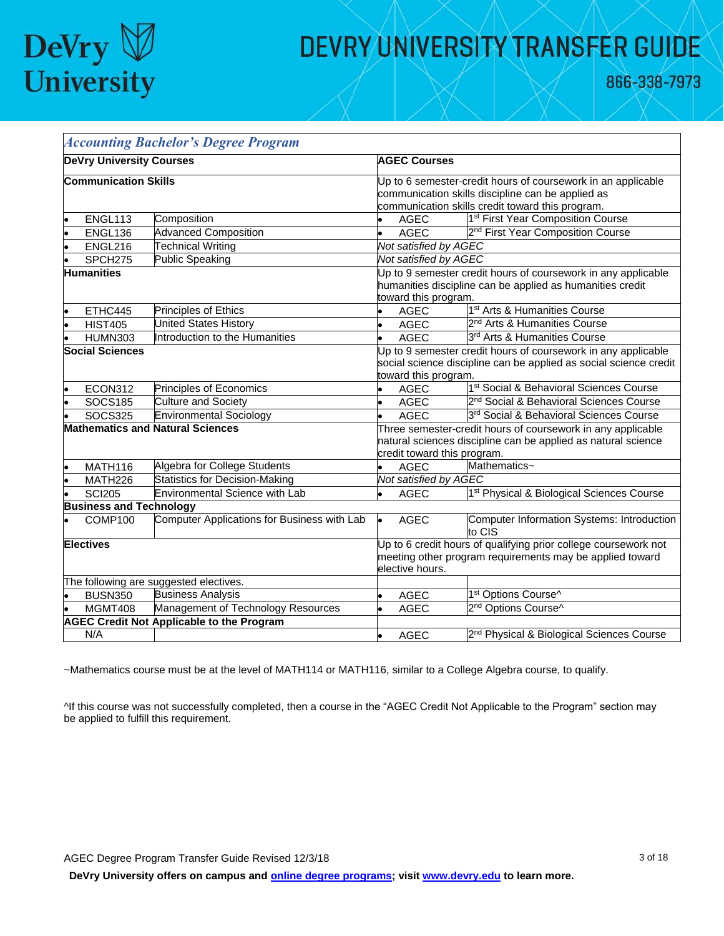

866-338-7973

|           |                                 | <b>Accounting Bachelor's Degree Program</b>      |                                                               |                             |                                                                   |  |
|-----------|---------------------------------|--------------------------------------------------|---------------------------------------------------------------|-----------------------------|-------------------------------------------------------------------|--|
|           | <b>DeVry University Courses</b> |                                                  |                                                               | <b>AGEC Courses</b>         |                                                                   |  |
|           | <b>Communication Skills</b>     |                                                  |                                                               |                             | Up to 6 semester-credit hours of coursework in an applicable      |  |
|           |                                 |                                                  |                                                               |                             | communication skills discipline can be applied as                 |  |
|           |                                 | communication skills credit toward this program. |                                                               |                             |                                                                   |  |
|           | ENGL113                         | Composition                                      |                                                               | <b>AGEC</b>                 | 1 <sup>st</sup> First Year Composition Course                     |  |
|           | ENGL136                         | <b>Advanced Composition</b>                      |                                                               | <b>AGEC</b>                 | 2 <sup>nd</sup> First Year Composition Course                     |  |
|           | ENGL216                         | <b>Technical Writing</b>                         |                                                               | Not satisfied by AGEC       |                                                                   |  |
|           | SPCH275                         | Public Speaking                                  |                                                               | Not satisfied by AGEC       |                                                                   |  |
|           | <b>Humanities</b>               |                                                  |                                                               |                             | Up to 9 semester credit hours of coursework in any applicable     |  |
|           |                                 |                                                  |                                                               |                             | humanities discipline can be applied as humanities credit         |  |
|           |                                 |                                                  |                                                               | toward this program.        |                                                                   |  |
|           | ETHC445                         | Principles of Ethics                             |                                                               | <b>AGEC</b>                 | 1 <sup>st</sup> Arts & Humanities Course                          |  |
| l.        | <b>HIST405</b>                  | <b>United States History</b>                     | l.                                                            | AGEC                        | 2 <sup>nd</sup> Arts & Humanities Course                          |  |
|           | <b>HUMN303</b>                  | Introduction to the Humanities                   | l.                                                            | <b>AGEC</b>                 | 3 <sup>rd</sup> Arts & Humanities Course                          |  |
|           | <b>Social Sciences</b>          |                                                  | Up to 9 semester credit hours of coursework in any applicable |                             |                                                                   |  |
|           |                                 |                                                  |                                                               |                             | social science discipline can be applied as social science credit |  |
|           |                                 |                                                  |                                                               | toward this program.        |                                                                   |  |
|           | ECON312                         | Principles of Economics                          |                                                               | <b>AGEC</b>                 | 1 <sup>st</sup> Social & Behavioral Sciences Course               |  |
|           | <b>SOCS185</b>                  | <b>Culture and Society</b>                       |                                                               | <b>AGEC</b>                 | 2 <sup>nd</sup> Social & Behavioral Sciences Course               |  |
|           | <b>SOCS325</b>                  | <b>Environmental Sociology</b>                   |                                                               | AGEC                        | 3rd Social & Behavioral Sciences Course                           |  |
|           |                                 | <b>Mathematics and Natural Sciences</b>          | Three semester-credit hours of coursework in any applicable   |                             |                                                                   |  |
|           |                                 |                                                  |                                                               |                             | natural sciences discipline can be applied as natural science     |  |
|           |                                 |                                                  |                                                               | credit toward this program. |                                                                   |  |
|           | MATH116                         | Algebra for College Students                     |                                                               | <b>AGEC</b>                 | Mathematics~                                                      |  |
| lo        | MATH226                         | <b>Statistics for Decision-Making</b>            |                                                               | Not satisfied by AGEC       |                                                                   |  |
| $\bullet$ | <b>SCI205</b>                   | Environmental Science with Lab                   |                                                               | AGEC                        | 1 <sup>st</sup> Physical & Biological Sciences Course             |  |
|           | <b>Business and Technology</b>  |                                                  |                                                               |                             |                                                                   |  |
|           | COMP100                         | Computer Applications for Business with Lab      | l.                                                            | <b>AGEC</b>                 | Computer Information Systems: Introduction<br>to CIS              |  |
|           | <b>Electives</b>                |                                                  |                                                               |                             | Up to 6 credit hours of qualifying prior college coursework not   |  |
|           |                                 |                                                  |                                                               |                             | meeting other program requirements may be applied toward          |  |
|           |                                 |                                                  |                                                               | elective hours.             |                                                                   |  |
|           |                                 | The following are suggested electives.           |                                                               |                             |                                                                   |  |
|           | <b>BUSN350</b>                  | <b>Business Analysis</b>                         |                                                               | <b>AGEC</b>                 | 1 <sup>st</sup> Options Course^                                   |  |
|           | MGMT408                         | Management of Technology Resources               |                                                               | <b>AGEC</b>                 | 2 <sup>nd</sup> Options Course^                                   |  |
|           |                                 | <b>AGEC Credit Not Applicable to the Program</b> |                                                               |                             |                                                                   |  |
|           | N/A                             |                                                  |                                                               | AGEC                        | 2 <sup>nd</sup> Physical & Biological Sciences Course             |  |

~Mathematics course must be at the level of MATH114 or MATH116, similar to a College Algebra course, to qualify.

^If this course was not successfully completed, then a course in the "AGEC Credit Not Applicable to the Program" section may be applied to fulfill this requirement.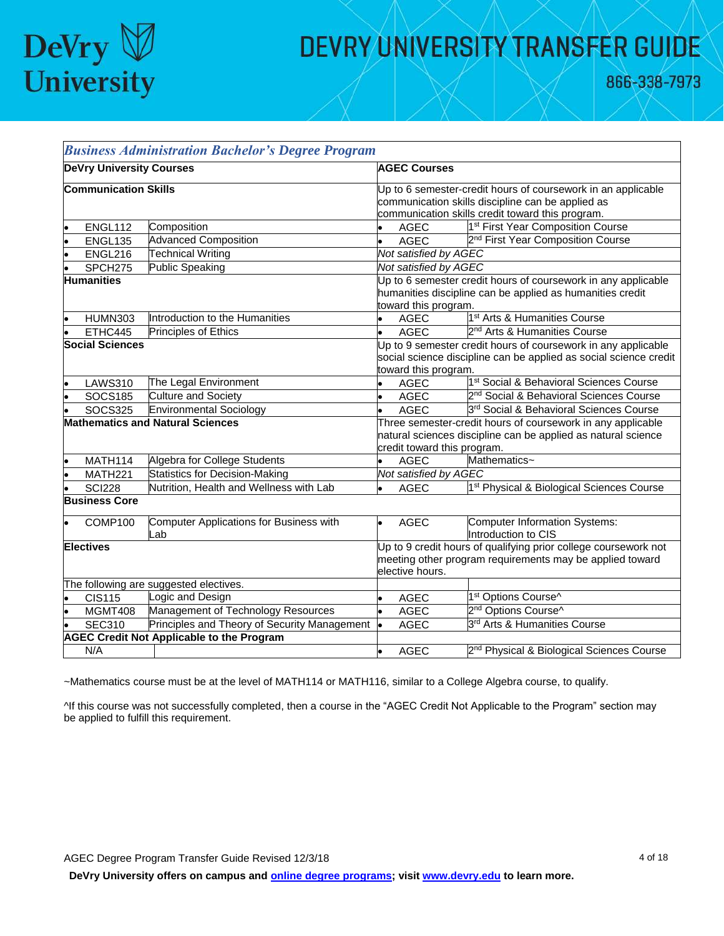

|                  |                                 | <b>Business Administration Bachelor's Degree Program</b> |                                                                                                                                                                       |                       |                                                       |  |
|------------------|---------------------------------|----------------------------------------------------------|-----------------------------------------------------------------------------------------------------------------------------------------------------------------------|-----------------------|-------------------------------------------------------|--|
|                  | <b>DeVry University Courses</b> |                                                          | <b>AGEC Courses</b>                                                                                                                                                   |                       |                                                       |  |
|                  | <b>Communication Skills</b>     |                                                          | Up to 6 semester-credit hours of coursework in an applicable<br>communication skills discipline can be applied as<br>communication skills credit toward this program. |                       |                                                       |  |
|                  | ENGL112                         | Composition                                              |                                                                                                                                                                       | <b>AGEC</b>           | 1 <sup>st</sup> First Year Composition Course         |  |
|                  | <b>ENGL135</b>                  | <b>Advanced Composition</b>                              | $\bullet$                                                                                                                                                             | <b>AGEC</b>           | 2 <sup>nd</sup> First Year Composition Course         |  |
|                  | ENGL216                         | <b>Technical Writing</b>                                 |                                                                                                                                                                       | Not satisfied by AGEC |                                                       |  |
|                  | SPCH <sub>275</sub>             | Public Speaking                                          |                                                                                                                                                                       | Not satisfied by AGEC |                                                       |  |
|                  | <b>Humanities</b>               |                                                          | Up to 6 semester credit hours of coursework in any applicable<br>humanities discipline can be applied as humanities credit<br>toward this program.                    |                       |                                                       |  |
|                  | <b>HUMN303</b>                  | Introduction to the Humanities                           | $\bullet$                                                                                                                                                             | AGEC                  | 1 <sup>st</sup> Arts & Humanities Course              |  |
|                  | ETHC445                         | Principles of Ethics                                     | l.                                                                                                                                                                    | <b>AGEC</b>           | 2 <sup>nd</sup> Arts & Humanities Course              |  |
|                  | <b>Social Sciences</b>          |                                                          | Up to 9 semester credit hours of coursework in any applicable<br>social science discipline can be applied as social science credit<br>toward this program.            |                       |                                                       |  |
|                  | <b>LAWS310</b>                  | The Legal Environment                                    |                                                                                                                                                                       | <b>AGEC</b>           | 1 <sup>st</sup> Social & Behavioral Sciences Course   |  |
|                  | <b>SOCS185</b>                  | <b>Culture and Society</b>                               | $\bullet$                                                                                                                                                             | <b>AGEC</b>           | 2 <sup>nd</sup> Social & Behavioral Sciences Course   |  |
|                  | <b>SOCS325</b>                  | <b>Environmental Sociology</b>                           |                                                                                                                                                                       | <b>AGEC</b>           | 3rd Social & Behavioral Sciences Course               |  |
|                  |                                 | <b>Mathematics and Natural Sciences</b>                  | Three semester-credit hours of coursework in any applicable<br>natural sciences discipline can be applied as natural science<br>credit toward this program.           |                       |                                                       |  |
|                  | MATH114                         | Algebra for College Students                             |                                                                                                                                                                       | <b>AGEC</b>           | Mathematics~                                          |  |
|                  | MATH221                         | <b>Statistics for Decision-Making</b>                    |                                                                                                                                                                       | Not satisfied by AGEC |                                                       |  |
|                  | <b>SCI228</b>                   | Nutrition, Health and Wellness with Lab                  | $\bullet$                                                                                                                                                             | <b>AGEC</b>           | 1 <sup>st</sup> Physical & Biological Sciences Course |  |
|                  | <b>Business Core</b>            |                                                          |                                                                                                                                                                       |                       |                                                       |  |
|                  | COMP100                         | Computer Applications for Business with<br>Lab           | $\bullet$                                                                                                                                                             | <b>AGEC</b>           | Computer Information Systems:<br>Introduction to CIS  |  |
| <b>Electives</b> |                                 |                                                          | Up to 9 credit hours of qualifying prior college coursework not<br>meeting other program requirements may be applied toward<br>elective hours.                        |                       |                                                       |  |
|                  |                                 | The following are suggested electives.                   |                                                                                                                                                                       |                       |                                                       |  |
|                  | <b>CIS115</b>                   | Logic and Design                                         | b                                                                                                                                                                     | <b>AGEC</b>           | 1st Options Course^                                   |  |
|                  | MGMT408                         | Management of Technology Resources                       | l.                                                                                                                                                                    | <b>AGEC</b>           | 2 <sup>nd</sup> Options Course^                       |  |
|                  | <b>SEC310</b>                   | Principles and Theory of Security Management             | l.                                                                                                                                                                    | <b>AGEC</b>           | 3 <sup>rd</sup> Arts & Humanities Course              |  |
|                  |                                 | <b>AGEC Credit Not Applicable to the Program</b>         |                                                                                                                                                                       |                       |                                                       |  |
|                  | N/A                             |                                                          | $\bullet$                                                                                                                                                             | AGEC                  | 2 <sup>nd</sup> Physical & Biological Sciences Course |  |

~Mathematics course must be at the level of MATH114 or MATH116, similar to a College Algebra course, to qualify.

^If this course was not successfully completed, then a course in the "AGEC Credit Not Applicable to the Program" section may be applied to fulfill this requirement.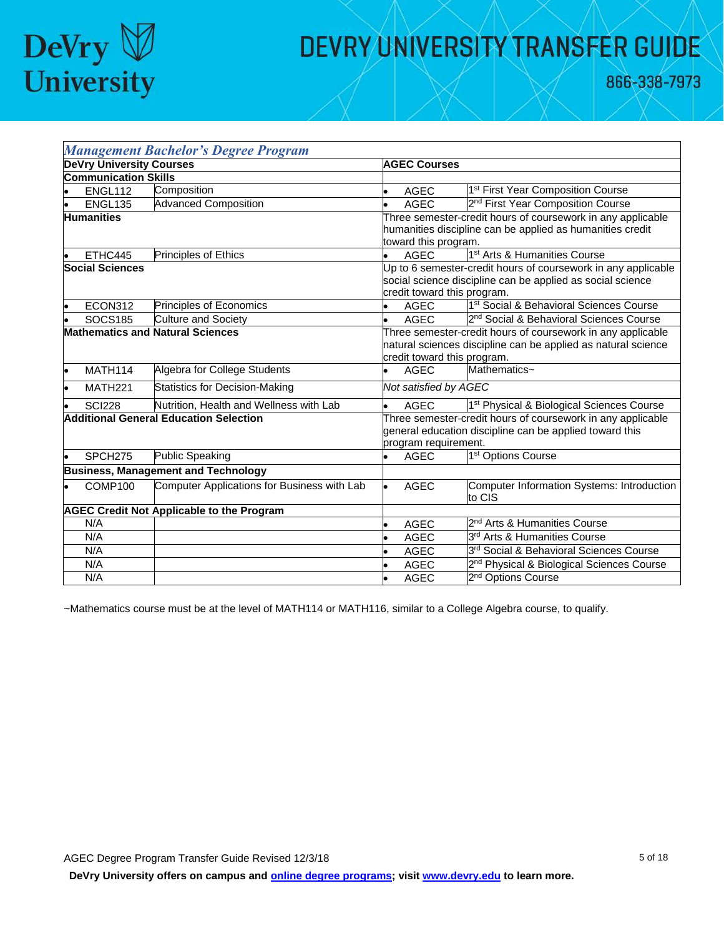

866-338-7973

|                        |                                 | <b>Management Bachelor's Degree Program</b>      |                                                                                                                                                |                                                                                                                                                             |  |  |
|------------------------|---------------------------------|--------------------------------------------------|------------------------------------------------------------------------------------------------------------------------------------------------|-------------------------------------------------------------------------------------------------------------------------------------------------------------|--|--|
|                        | <b>DeVry University Courses</b> |                                                  | <b>AGEC Courses</b>                                                                                                                            |                                                                                                                                                             |  |  |
|                        | <b>Communication Skills</b>     |                                                  |                                                                                                                                                |                                                                                                                                                             |  |  |
|                        | ENGL112                         | Composition                                      | <b>AGEC</b>                                                                                                                                    | 1 <sup>st</sup> First Year Composition Course                                                                                                               |  |  |
|                        | ENGL135                         | <b>Advanced Composition</b>                      | <b>AGEC</b>                                                                                                                                    | 2 <sup>nd</sup> First Year Composition Course                                                                                                               |  |  |
|                        | <b>Humanities</b>               |                                                  | toward this program.                                                                                                                           | Three semester-credit hours of coursework in any applicable<br>humanities discipline can be applied as humanities credit                                    |  |  |
|                        | ETHC445                         | Principles of Ethics                             | <b>AGEC</b><br>ь.                                                                                                                              | 1 <sup>st</sup> Arts & Humanities Course                                                                                                                    |  |  |
| <b>Social Sciences</b> |                                 |                                                  |                                                                                                                                                | Up to 6 semester-credit hours of coursework in any applicable<br>social science discipline can be applied as social science<br>credit toward this program.  |  |  |
|                        | ECON312                         | Principles of Economics                          | <b>AGEC</b>                                                                                                                                    | 1 <sup>st</sup> Social & Behavioral Sciences Course                                                                                                         |  |  |
|                        | <b>SOCS185</b>                  | <b>Culture and Society</b>                       | <b>AGEC</b><br>$\bullet$                                                                                                                       | 2 <sup>nd</sup> Social & Behavioral Sciences Course                                                                                                         |  |  |
|                        |                                 | <b>Mathematics and Natural Sciences</b>          |                                                                                                                                                | Three semester-credit hours of coursework in any applicable<br>natural sciences discipline can be applied as natural science<br>credit toward this program. |  |  |
|                        | <b>MATH114</b>                  | Algebra for College Students                     | <b>AGEC</b>                                                                                                                                    | Mathematics~                                                                                                                                                |  |  |
|                        | MATH221                         | <b>Statistics for Decision-Making</b>            |                                                                                                                                                | Not satisfied by AGEC                                                                                                                                       |  |  |
|                        | <b>SCI228</b>                   | Nutrition, Health and Wellness with Lab          | <b>AGEC</b>                                                                                                                                    | 1 <sup>st</sup> Physical & Biological Sciences Course                                                                                                       |  |  |
|                        |                                 | <b>Additional General Education Selection</b>    | Three semester-credit hours of coursework in any applicable<br>general education discipline can be applied toward this<br>program requirement. |                                                                                                                                                             |  |  |
|                        | SPCH <sub>275</sub>             | Public Speaking                                  | <b>AGEC</b><br>۰                                                                                                                               | 1 <sup>st</sup> Options Course                                                                                                                              |  |  |
|                        |                                 | <b>Business, Management and Technology</b>       |                                                                                                                                                |                                                                                                                                                             |  |  |
|                        | COMP100                         | Computer Applications for Business with Lab      | <b>AGEC</b>                                                                                                                                    | Computer Information Systems: Introduction<br>to CIS                                                                                                        |  |  |
|                        |                                 | <b>AGEC Credit Not Applicable to the Program</b> |                                                                                                                                                |                                                                                                                                                             |  |  |
|                        | N/A                             |                                                  | <b>AGEC</b>                                                                                                                                    | 2 <sup>nd</sup> Arts & Humanities Course                                                                                                                    |  |  |
|                        | N/A                             |                                                  | <b>AGEC</b>                                                                                                                                    | 3 <sup>rd</sup> Arts & Humanities Course                                                                                                                    |  |  |
|                        | N/A                             |                                                  | <b>AGEC</b>                                                                                                                                    | 3rd Social & Behavioral Sciences Course                                                                                                                     |  |  |
|                        | N/A                             |                                                  | <b>AGEC</b>                                                                                                                                    | 2 <sup>nd</sup> Physical & Biological Sciences Course                                                                                                       |  |  |
|                        | N/A                             |                                                  | <b>AGEC</b>                                                                                                                                    | 2 <sup>nd</sup> Options Course                                                                                                                              |  |  |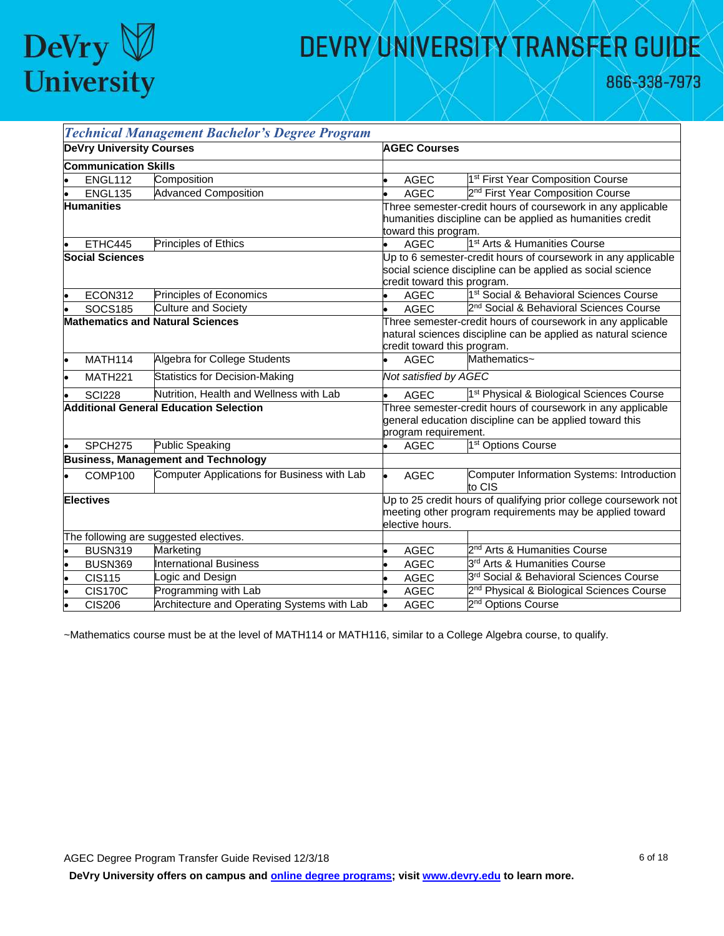

866-338-7973

|                                         |                             | <b>Technical Management Bachelor's Degree Program</b> |                                                                                                                                                             |                                                                                                                                                            |                                                       |  |  |
|-----------------------------------------|-----------------------------|-------------------------------------------------------|-------------------------------------------------------------------------------------------------------------------------------------------------------------|------------------------------------------------------------------------------------------------------------------------------------------------------------|-------------------------------------------------------|--|--|
| <b>DeVry University Courses</b>         |                             |                                                       |                                                                                                                                                             | <b>AGEC Courses</b>                                                                                                                                        |                                                       |  |  |
|                                         | <b>Communication Skills</b> |                                                       |                                                                                                                                                             |                                                                                                                                                            |                                                       |  |  |
|                                         | ENGL112                     | Composition                                           |                                                                                                                                                             | <b>AGEC</b>                                                                                                                                                | 1 <sup>st</sup> First Year Composition Course         |  |  |
|                                         | <b>ENGL135</b>              | <b>Advanced Composition</b>                           |                                                                                                                                                             | <b>AGEC</b>                                                                                                                                                | 2 <sup>nd</sup> First Year Composition Course         |  |  |
| <b>Humanities</b>                       |                             |                                                       |                                                                                                                                                             | Three semester-credit hours of coursework in any applicable<br>humanities discipline can be applied as humanities credit<br>toward this program.           |                                                       |  |  |
|                                         | ETHC445                     | Principles of Ethics                                  |                                                                                                                                                             | <b>AGEC</b>                                                                                                                                                | 1 <sup>st</sup> Arts & Humanities Course              |  |  |
| <b>Social Sciences</b>                  |                             |                                                       |                                                                                                                                                             | Up to 6 semester-credit hours of coursework in any applicable<br>social science discipline can be applied as social science<br>credit toward this program. |                                                       |  |  |
|                                         | ECON312                     | Principles of Economics                               |                                                                                                                                                             | <b>AGEC</b>                                                                                                                                                | 1 <sup>st</sup> Social & Behavioral Sciences Course   |  |  |
|                                         | <b>SOCS185</b>              | <b>Culture and Society</b>                            |                                                                                                                                                             | <b>AGEC</b>                                                                                                                                                | 2 <sup>nd</sup> Social & Behavioral Sciences Course   |  |  |
| <b>Mathematics and Natural Sciences</b> |                             |                                                       | Three semester-credit hours of coursework in any applicable<br>natural sciences discipline can be applied as natural science<br>credit toward this program. |                                                                                                                                                            |                                                       |  |  |
|                                         | MATH114                     | Algebra for College Students                          |                                                                                                                                                             | <b>AGEC</b>                                                                                                                                                | Mathematics~                                          |  |  |
|                                         | MATH <sub>221</sub>         | <b>Statistics for Decision-Making</b>                 |                                                                                                                                                             | Not satisfied by AGEC                                                                                                                                      |                                                       |  |  |
|                                         | <b>SCI228</b>               | Nutrition, Health and Wellness with Lab               |                                                                                                                                                             | <b>AGEC</b>                                                                                                                                                | 1 <sup>st</sup> Physical & Biological Sciences Course |  |  |
|                                         |                             | <b>Additional General Education Selection</b>         | Three semester-credit hours of coursework in any applicable<br>general education discipline can be applied toward this<br>program requirement.              |                                                                                                                                                            |                                                       |  |  |
|                                         | SPCH <sub>275</sub>         | <b>Public Speaking</b>                                |                                                                                                                                                             | <b>AGEC</b>                                                                                                                                                | 1 <sup>st</sup> Options Course                        |  |  |
|                                         |                             | <b>Business, Management and Technology</b>            |                                                                                                                                                             |                                                                                                                                                            |                                                       |  |  |
|                                         | COMP100                     | Computer Applications for Business with Lab           |                                                                                                                                                             | <b>AGEC</b>                                                                                                                                                | Computer Information Systems: Introduction<br>to CIS  |  |  |
| <b>Electives</b>                        |                             |                                                       | Up to 25 credit hours of qualifying prior college coursework not<br>meeting other program requirements may be applied toward<br>elective hours.             |                                                                                                                                                            |                                                       |  |  |
|                                         |                             | The following are suggested electives.                |                                                                                                                                                             |                                                                                                                                                            |                                                       |  |  |
|                                         | <b>BUSN319</b>              | Marketing                                             |                                                                                                                                                             | <b>AGEC</b>                                                                                                                                                | 2 <sup>nd</sup> Arts & Humanities Course              |  |  |
|                                         | <b>BUSN369</b>              | <b>International Business</b>                         |                                                                                                                                                             | <b>AGEC</b>                                                                                                                                                | 3rd Arts & Humanities Course                          |  |  |
|                                         | <b>CIS115</b>               | ogic and Design                                       |                                                                                                                                                             | <b>AGEC</b>                                                                                                                                                | 3rd Social & Behavioral Sciences Course               |  |  |
|                                         | <b>CIS170C</b>              | Programming with Lab                                  |                                                                                                                                                             | <b>AGEC</b>                                                                                                                                                | 2 <sup>nd</sup> Physical & Biological Sciences Course |  |  |
|                                         | <b>CIS206</b>               | Architecture and Operating Systems with Lab           |                                                                                                                                                             | <b>AGEC</b>                                                                                                                                                | 2 <sup>nd</sup> Options Course                        |  |  |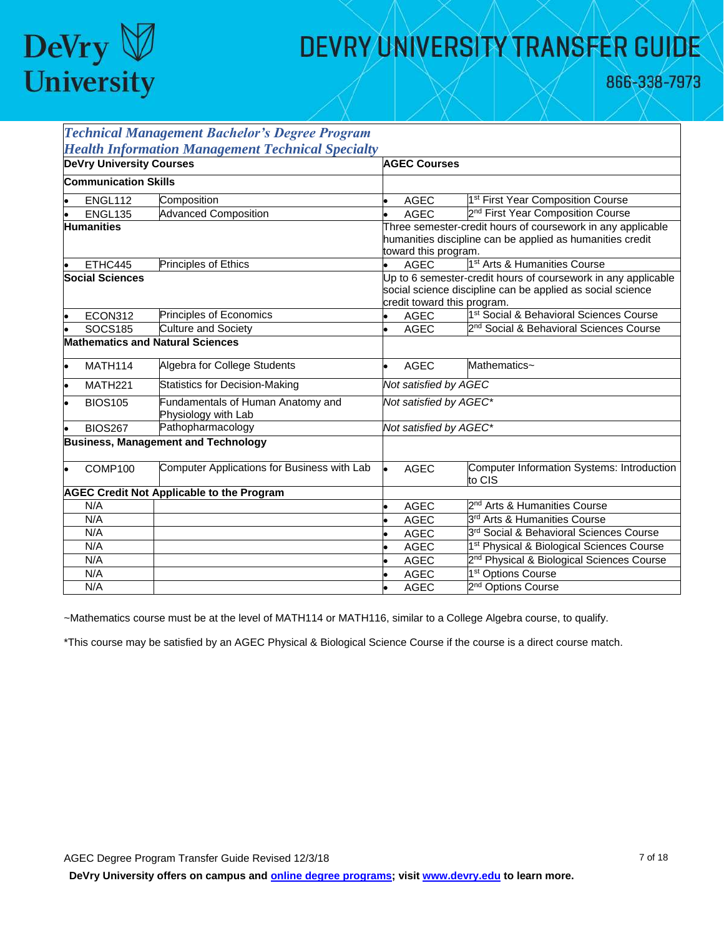

866-338-7973

|                        |                                 | <b>Technical Management Bachelor's Degree Program</b>    |                                                                                                                                                            |                                                                                                                                                  |                                                       |  |
|------------------------|---------------------------------|----------------------------------------------------------|------------------------------------------------------------------------------------------------------------------------------------------------------------|--------------------------------------------------------------------------------------------------------------------------------------------------|-------------------------------------------------------|--|
|                        |                                 | <b>Health Information Management Technical Specialty</b> |                                                                                                                                                            |                                                                                                                                                  |                                                       |  |
|                        | <b>DeVry University Courses</b> |                                                          |                                                                                                                                                            | <b>AGEC Courses</b>                                                                                                                              |                                                       |  |
|                        | <b>Communication Skills</b>     |                                                          |                                                                                                                                                            |                                                                                                                                                  |                                                       |  |
|                        | ENGL112                         | Composition                                              |                                                                                                                                                            | <b>AGEC</b>                                                                                                                                      | 1 <sup>st</sup> First Year Composition Course         |  |
|                        | <b>ENGL135</b>                  | <b>Advanced Composition</b>                              |                                                                                                                                                            | <b>AGEC</b>                                                                                                                                      | 2 <sup>nd</sup> First Year Composition Course         |  |
| <b>Humanities</b>      |                                 |                                                          |                                                                                                                                                            | Three semester-credit hours of coursework in any applicable<br>humanities discipline can be applied as humanities credit<br>toward this program. |                                                       |  |
|                        | ETHC445                         | Principles of Ethics                                     |                                                                                                                                                            | <b>AGEC</b>                                                                                                                                      | 1 <sup>st</sup> Arts & Humanities Course              |  |
| <b>Social Sciences</b> |                                 |                                                          | Up to 6 semester-credit hours of coursework in any applicable<br>social science discipline can be applied as social science<br>credit toward this program. |                                                                                                                                                  |                                                       |  |
| $\bullet$              | ECON312                         | Principles of Economics                                  |                                                                                                                                                            | <b>AGEC</b>                                                                                                                                      | 1 <sup>st</sup> Social & Behavioral Sciences Course   |  |
|                        | <b>SOCS185</b>                  | <b>Culture and Society</b>                               |                                                                                                                                                            | <b>AGEC</b>                                                                                                                                      | 2 <sup>nd</sup> Social & Behavioral Sciences Course   |  |
|                        |                                 | <b>Mathematics and Natural Sciences</b>                  |                                                                                                                                                            |                                                                                                                                                  |                                                       |  |
| lo                     | MATH114                         | Algebra for College Students                             | ۰                                                                                                                                                          | <b>AGEC</b>                                                                                                                                      | Mathematics~                                          |  |
|                        | <b>MATH221</b>                  | <b>Statistics for Decision-Making</b>                    |                                                                                                                                                            | Not satisfied by AGEC                                                                                                                            |                                                       |  |
| $\bullet$              | <b>BIOS105</b>                  | Fundamentals of Human Anatomy and<br>Physiology with Lab |                                                                                                                                                            | Not satisfied by AGEC*                                                                                                                           |                                                       |  |
| lo                     | <b>BIOS267</b>                  | Pathopharmacology                                        |                                                                                                                                                            | Not satisfied by AGEC*                                                                                                                           |                                                       |  |
|                        |                                 | <b>Business, Management and Technology</b>               |                                                                                                                                                            |                                                                                                                                                  |                                                       |  |
|                        | COMP100                         | Computer Applications for Business with Lab              |                                                                                                                                                            | <b>AGEC</b>                                                                                                                                      | Computer Information Systems: Introduction<br>to CIS  |  |
|                        |                                 | <b>AGEC Credit Not Applicable to the Program</b>         |                                                                                                                                                            |                                                                                                                                                  |                                                       |  |
|                        | N/A                             |                                                          |                                                                                                                                                            | <b>AGEC</b>                                                                                                                                      | 2 <sup>nd</sup> Arts & Humanities Course              |  |
|                        | N/A                             |                                                          |                                                                                                                                                            | <b>AGEC</b>                                                                                                                                      | 3 <sup>rd</sup> Arts & Humanities Course              |  |
|                        | N/A                             |                                                          |                                                                                                                                                            | <b>AGEC</b>                                                                                                                                      | 3rd Social & Behavioral Sciences Course               |  |
|                        | N/A                             |                                                          |                                                                                                                                                            | <b>AGEC</b>                                                                                                                                      | 1 <sup>st</sup> Physical & Biological Sciences Course |  |
|                        | N/A                             |                                                          |                                                                                                                                                            | <b>AGEC</b>                                                                                                                                      | 2 <sup>nd</sup> Physical & Biological Sciences Course |  |
|                        | N/A                             |                                                          |                                                                                                                                                            | <b>AGEC</b>                                                                                                                                      | 1 <sup>st</sup> Options Course                        |  |
|                        | N/A                             |                                                          |                                                                                                                                                            | <b>AGEC</b>                                                                                                                                      | 2 <sup>nd</sup> Options Course                        |  |

~Mathematics course must be at the level of MATH114 or MATH116, similar to a College Algebra course, to qualify.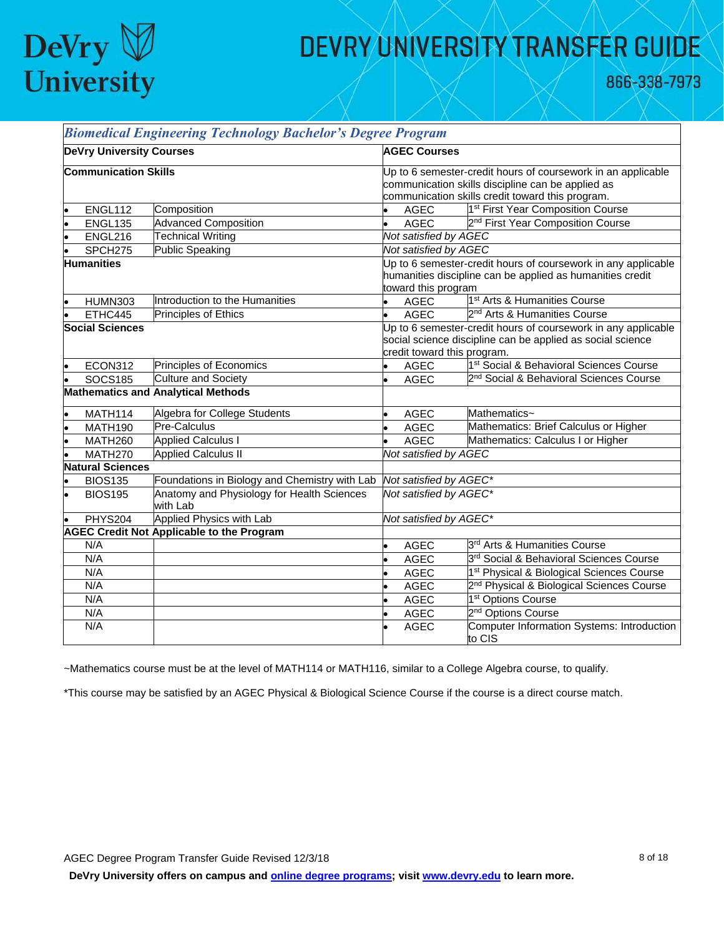

866-338-7973

|                                 | <b>Biomedical Engineering Technology Bachelor's Degree Program</b> |                                                                                                                                                                       |                                                                                                                                                            |                                                       |  |
|---------------------------------|--------------------------------------------------------------------|-----------------------------------------------------------------------------------------------------------------------------------------------------------------------|------------------------------------------------------------------------------------------------------------------------------------------------------------|-------------------------------------------------------|--|
| <b>DeVry University Courses</b> |                                                                    |                                                                                                                                                                       | <b>AGEC Courses</b>                                                                                                                                        |                                                       |  |
| <b>Communication Skills</b>     |                                                                    | Up to 6 semester-credit hours of coursework in an applicable<br>communication skills discipline can be applied as<br>communication skills credit toward this program. |                                                                                                                                                            |                                                       |  |
| ENGL112                         | Composition                                                        |                                                                                                                                                                       | <b>AGEC</b>                                                                                                                                                | 1 <sup>st</sup> First Year Composition Course         |  |
| ENGL135                         | <b>Advanced Composition</b>                                        |                                                                                                                                                                       | <b>AGEC</b>                                                                                                                                                | 2 <sup>nd</sup> First Year Composition Course         |  |
| ENGL216                         | <b>Technical Writing</b>                                           |                                                                                                                                                                       | Not satisfied by AGEC                                                                                                                                      |                                                       |  |
| SPCH <sub>275</sub>             | <b>Public Speaking</b>                                             |                                                                                                                                                                       | Not satisfied by AGEC                                                                                                                                      |                                                       |  |
| <b>Humanities</b>               |                                                                    |                                                                                                                                                                       | Up to 6 semester-credit hours of coursework in any applicable<br>humanities discipline can be applied as humanities credit<br>toward this program          |                                                       |  |
| <b>HUMN303</b>                  | Introduction to the Humanities                                     |                                                                                                                                                                       | <b>AGEC</b>                                                                                                                                                | 1 <sup>st</sup> Arts & Humanities Course              |  |
| ETHC445                         | <b>Principles of Ethics</b>                                        |                                                                                                                                                                       | <b>AGEC</b>                                                                                                                                                | 2 <sup>nd</sup> Arts & Humanities Course              |  |
| <b>Social Sciences</b>          |                                                                    |                                                                                                                                                                       | Up to 6 semester-credit hours of coursework in any applicable<br>social science discipline can be applied as social science<br>credit toward this program. |                                                       |  |
| ECON312                         | Principles of Economics                                            |                                                                                                                                                                       | <b>AGEC</b>                                                                                                                                                | 1 <sup>st</sup> Social & Behavioral Sciences Course   |  |
| <b>SOCS185</b>                  | <b>Culture and Society</b>                                         |                                                                                                                                                                       | <b>AGEC</b>                                                                                                                                                | 2 <sup>nd</sup> Social & Behavioral Sciences Course   |  |
|                                 | <b>Mathematics and Analytical Methods</b>                          |                                                                                                                                                                       |                                                                                                                                                            |                                                       |  |
| MATH114                         | Algebra for College Students                                       |                                                                                                                                                                       | <b>AGEC</b>                                                                                                                                                | Mathematics~                                          |  |
| <b>MATH190</b>                  | Pre-Calculus                                                       |                                                                                                                                                                       | <b>AGEC</b>                                                                                                                                                | Mathematics: Brief Calculus or Higher                 |  |
| <b>MATH260</b>                  | <b>Applied Calculus I</b>                                          |                                                                                                                                                                       | <b>AGEC</b>                                                                                                                                                | Mathematics: Calculus I or Higher                     |  |
| MATH270                         | <b>Applied Calculus II</b>                                         |                                                                                                                                                                       | Not satisfied by AGEC                                                                                                                                      |                                                       |  |
| <b>Natural Sciences</b>         |                                                                    |                                                                                                                                                                       |                                                                                                                                                            |                                                       |  |
| <b>BIOS135</b>                  | Foundations in Biology and Chemistry with Lab                      |                                                                                                                                                                       | Not satisfied by AGEC*                                                                                                                                     |                                                       |  |
| <b>BIOS195</b>                  | Anatomy and Physiology for Health Sciences<br>with Lab             |                                                                                                                                                                       | Not satisfied by AGEC*                                                                                                                                     |                                                       |  |
| PHYS204                         | Applied Physics with Lab                                           |                                                                                                                                                                       | Not satisfied by AGEC*                                                                                                                                     |                                                       |  |
|                                 | <b>AGEC Credit Not Applicable to the Program</b>                   |                                                                                                                                                                       |                                                                                                                                                            |                                                       |  |
| N/A                             |                                                                    |                                                                                                                                                                       | <b>AGEC</b>                                                                                                                                                | 3 <sup>rd</sup> Arts & Humanities Course              |  |
| N/A                             |                                                                    |                                                                                                                                                                       | <b>AGEC</b>                                                                                                                                                | 3rd Social & Behavioral Sciences Course               |  |
| N/A                             |                                                                    |                                                                                                                                                                       | <b>AGEC</b>                                                                                                                                                | 1 <sup>st</sup> Physical & Biological Sciences Course |  |
| N/A                             |                                                                    |                                                                                                                                                                       | <b>AGEC</b>                                                                                                                                                | 2 <sup>nd</sup> Physical & Biological Sciences Course |  |
| N/A                             |                                                                    |                                                                                                                                                                       | <b>AGEC</b>                                                                                                                                                | 1 <sup>st</sup> Options Course                        |  |
| N/A                             |                                                                    |                                                                                                                                                                       | <b>AGEC</b>                                                                                                                                                | 2 <sup>nd</sup> Options Course                        |  |
| N/A                             |                                                                    |                                                                                                                                                                       | <b>AGEC</b>                                                                                                                                                | Computer Information Systems: Introduction<br>to CIS  |  |

~Mathematics course must be at the level of MATH114 or MATH116, similar to a College Algebra course, to qualify.

\*This course may be satisfied by an AGEC Physical & Biological Science Course if the course is a direct course match.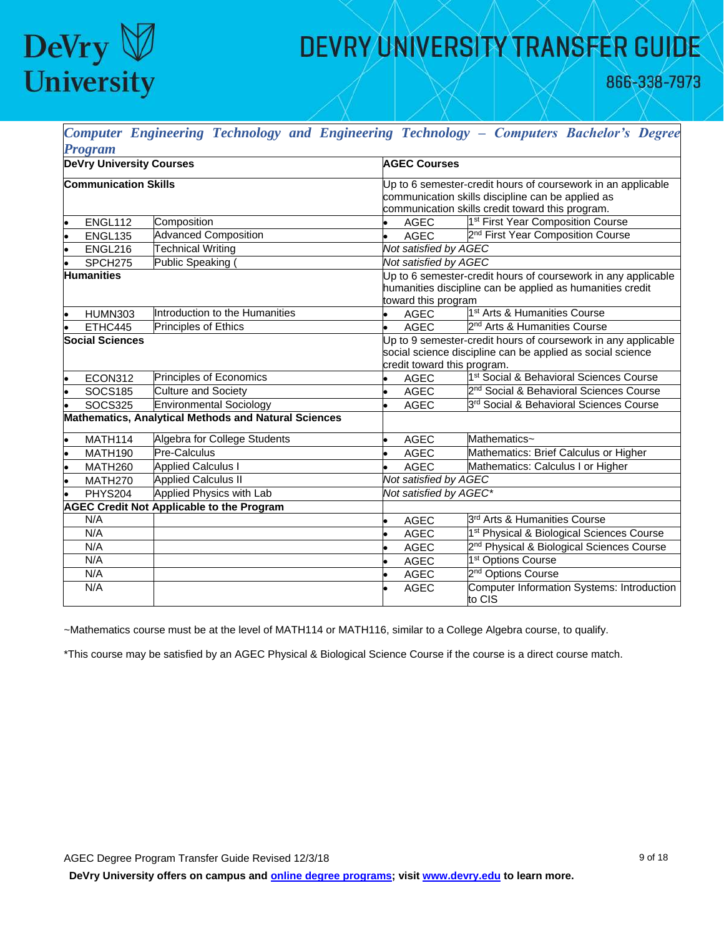

866-338-7973

|           |                                 |                                                             |                             | Computer Engineering Technology and Engineering Technology - Computers Bachelor's Degree |  |  |
|-----------|---------------------------------|-------------------------------------------------------------|-----------------------------|------------------------------------------------------------------------------------------|--|--|
|           | <b>Program</b>                  |                                                             |                             |                                                                                          |  |  |
|           | <b>DeVry University Courses</b> |                                                             | <b>AGEC Courses</b>         |                                                                                          |  |  |
|           | <b>Communication Skills</b>     |                                                             |                             | Up to 6 semester-credit hours of coursework in an applicable                             |  |  |
|           |                                 |                                                             |                             | communication skills discipline can be applied as                                        |  |  |
|           |                                 |                                                             |                             | communication skills credit toward this program.                                         |  |  |
|           | <b>ENGL112</b>                  | Composition                                                 | <b>AGEC</b>                 | 1 <sup>st</sup> First Year Composition Course                                            |  |  |
|           | <b>ENGL135</b>                  | <b>Advanced Composition</b>                                 | <b>AGEC</b>                 | 2 <sup>nd</sup> First Year Composition Course                                            |  |  |
|           | ENGL216                         | <b>Technical Writing</b>                                    | Not satisfied by AGEC       |                                                                                          |  |  |
|           | SPCH <sub>275</sub>             | Public Speaking (                                           | Not satisfied by AGEC       |                                                                                          |  |  |
|           | <b>Humanities</b>               |                                                             |                             | Up to 6 semester-credit hours of coursework in any applicable                            |  |  |
|           |                                 |                                                             |                             | humanities discipline can be applied as humanities credit                                |  |  |
|           |                                 |                                                             | toward this program         |                                                                                          |  |  |
|           | <b>HUMN303</b>                  | Introduction to the Humanities                              | <b>AGEC</b>                 | 1 <sup>st</sup> Arts & Humanities Course                                                 |  |  |
|           | ETHC445                         | Principles of Ethics                                        | <b>AGEC</b><br>$\bullet$    | 2 <sup>nd</sup> Arts & Humanities Course                                                 |  |  |
|           | <b>Social Sciences</b>          |                                                             |                             | Up to 9 semester-credit hours of coursework in any applicable                            |  |  |
|           |                                 |                                                             |                             | social science discipline can be applied as social science                               |  |  |
|           |                                 |                                                             | credit toward this program. |                                                                                          |  |  |
| lo        | ECON312                         | Principles of Economics                                     | <b>AGEC</b>                 | 1 <sup>st</sup> Social & Behavioral Sciences Course                                      |  |  |
| $\bullet$ | <b>SOCS185</b>                  | <b>Culture and Society</b>                                  | <b>AGEC</b><br>$\bullet$    | 2 <sup>nd</sup> Social & Behavioral Sciences Course                                      |  |  |
|           | <b>SOCS325</b>                  | <b>Environmental Sociology</b>                              | <b>AGEC</b><br>۰            | 3rd Social & Behavioral Sciences Course                                                  |  |  |
|           |                                 | <b>Mathematics, Analytical Methods and Natural Sciences</b> |                             |                                                                                          |  |  |
|           | <b>MATH114</b>                  | Algebra for College Students                                | <b>AGEC</b>                 | Mathematics~                                                                             |  |  |
|           | <b>MATH190</b>                  | Pre-Calculus                                                | <b>AGEC</b>                 | Mathematics: Brief Calculus or Higher                                                    |  |  |
|           | <b>MATH260</b>                  | <b>Applied Calculus I</b>                                   | <b>AGEC</b>                 | Mathematics: Calculus I or Higher                                                        |  |  |
|           | MATH <sub>270</sub>             | <b>Applied Calculus II</b>                                  | Not satisfied by AGEC       |                                                                                          |  |  |
|           | <b>PHYS204</b>                  | Applied Physics with Lab                                    | Not satisfied by AGEC*      |                                                                                          |  |  |
|           |                                 | <b>AGEC Credit Not Applicable to the Program</b>            |                             |                                                                                          |  |  |
|           | N/A                             |                                                             | <b>AGEC</b><br>l.           | 3 <sup>rd</sup> Arts & Humanities Course                                                 |  |  |
|           | N/A                             |                                                             | <b>AGEC</b><br>l.           | 1 <sup>st</sup> Physical & Biological Sciences Course                                    |  |  |
|           | N/A                             |                                                             | <b>AGEC</b>                 | 2 <sup>nd</sup> Physical & Biological Sciences Course                                    |  |  |
|           | N/A                             |                                                             | <b>AGEC</b>                 | 1 <sup>st</sup> Options Course                                                           |  |  |
|           | N/A                             |                                                             | <b>AGEC</b>                 | 2 <sup>nd</sup> Options Course                                                           |  |  |
|           | N/A                             |                                                             | <b>AGEC</b>                 | <b>Computer Information Systems: Introduction</b><br>to CIS                              |  |  |

~Mathematics course must be at the level of MATH114 or MATH116, similar to a College Algebra course, to qualify.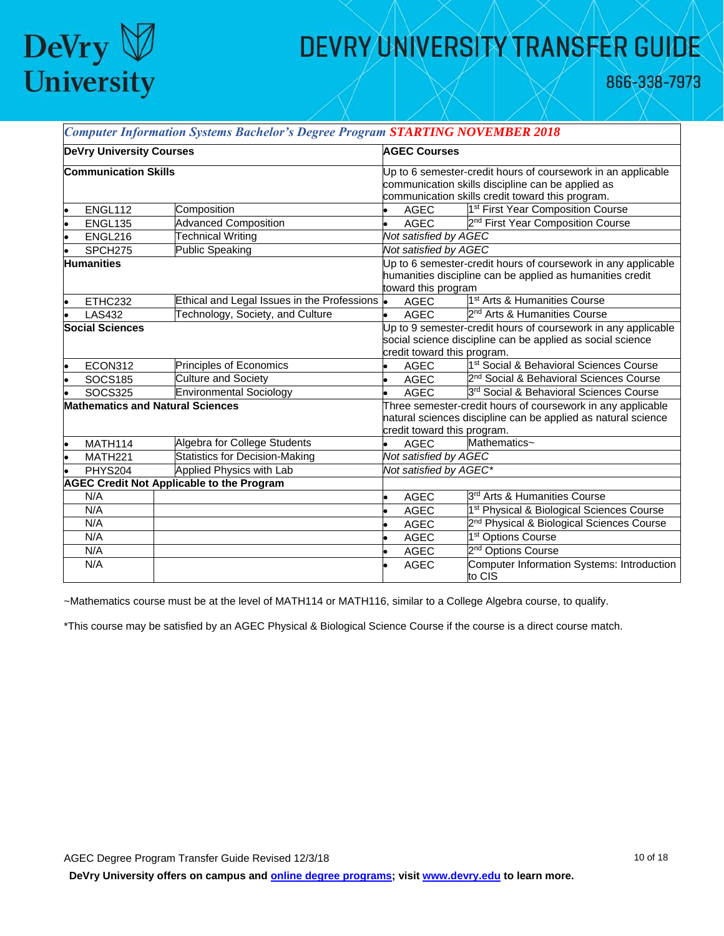

866-338-7973

┑

|           |                                 | <b>Computer Information Systems Bachelor's Degree Program STARTING NOVEMBER 2018</b> |                                                               |                             |                                                               |  |
|-----------|---------------------------------|--------------------------------------------------------------------------------------|---------------------------------------------------------------|-----------------------------|---------------------------------------------------------------|--|
|           | <b>DeVry University Courses</b> |                                                                                      | <b>AGEC Courses</b>                                           |                             |                                                               |  |
|           | <b>Communication Skills</b>     |                                                                                      |                                                               |                             | Up to 6 semester-credit hours of coursework in an applicable  |  |
|           |                                 |                                                                                      |                                                               |                             | communication skills discipline can be applied as             |  |
|           |                                 |                                                                                      |                                                               |                             | communication skills credit toward this program.              |  |
|           | ENGL112                         | Composition                                                                          |                                                               | <b>AGEC</b>                 | 1 <sup>st</sup> First Year Composition Course                 |  |
|           | <b>ENGL135</b>                  | <b>Advanced Composition</b>                                                          |                                                               | <b>AGEC</b>                 | 2 <sup>nd</sup> First Year Composition Course                 |  |
|           | ENGL216                         | <b>Technical Writing</b>                                                             |                                                               | Not satisfied by AGEC       |                                                               |  |
|           | SPCH <sub>275</sub>             | <b>Public Speaking</b>                                                               |                                                               | Not satisfied by AGEC       |                                                               |  |
|           | <b>Humanities</b>               |                                                                                      |                                                               |                             | Up to 6 semester-credit hours of coursework in any applicable |  |
|           |                                 |                                                                                      |                                                               |                             | humanities discipline can be applied as humanities credit     |  |
|           |                                 |                                                                                      |                                                               | toward this program         |                                                               |  |
| l.        | ETHC232                         | Ethical and Legal Issues in the Professions .                                        |                                                               | <b>AGEC</b>                 | 1 <sup>st</sup> Arts & Humanities Course                      |  |
|           | <b>LAS432</b>                   | Technology, Society, and Culture                                                     |                                                               | <b>AGEC</b>                 | 2 <sup>nd</sup> Arts & Humanities Course                      |  |
|           | <b>Social Sciences</b>          |                                                                                      | Up to 9 semester-credit hours of coursework in any applicable |                             |                                                               |  |
|           |                                 |                                                                                      |                                                               |                             | social science discipline can be applied as social science    |  |
|           |                                 |                                                                                      |                                                               | credit toward this program. |                                                               |  |
| ۱o        | ECON312                         | Principles of Economics                                                              |                                                               | <b>AGEC</b>                 | 1 <sup>st</sup> Social & Behavioral Sciences Course           |  |
|           | <b>SOCS185</b>                  | <b>Culture and Society</b>                                                           | ۰                                                             | <b>AGEC</b>                 | 2 <sup>nd</sup> Social & Behavioral Sciences Course           |  |
|           | <b>SOCS325</b>                  | <b>Environmental Sociology</b>                                                       |                                                               | <b>AGEC</b>                 | 3rd Social & Behavioral Sciences Course                       |  |
|           |                                 | <b>Mathematics and Natural Sciences</b>                                              | Three semester-credit hours of coursework in any applicable   |                             |                                                               |  |
|           |                                 |                                                                                      | natural sciences discipline can be applied as natural science |                             |                                                               |  |
|           |                                 |                                                                                      |                                                               | credit toward this program. |                                                               |  |
| $\bullet$ | MATH114                         | Algebra for College Students                                                         |                                                               | <b>AGEC</b>                 | Mathematics~                                                  |  |
| ۱.        | MATH <sub>221</sub>             | <b>Statistics for Decision-Making</b>                                                |                                                               | Not satisfied by AGEC       |                                                               |  |
|           | <b>PHYS204</b>                  | Applied Physics with Lab                                                             |                                                               | Not satisfied by AGEC*      |                                                               |  |
|           |                                 | <b>AGEC Credit Not Applicable to the Program</b>                                     |                                                               |                             |                                                               |  |
|           | N/A                             |                                                                                      |                                                               | <b>AGEC</b>                 | 3 <sup>rd</sup> Arts & Humanities Course                      |  |
|           | N/A                             |                                                                                      |                                                               | <b>AGEC</b>                 | 1 <sup>st</sup> Physical & Biological Sciences Course         |  |
|           | N/A                             |                                                                                      |                                                               | <b>AGEC</b>                 | 2 <sup>nd</sup> Physical & Biological Sciences Course         |  |
|           | N/A                             |                                                                                      |                                                               | <b>AGEC</b>                 | 1 <sup>st</sup> Options Course                                |  |
|           | N/A                             |                                                                                      |                                                               | AGEC                        | 2 <sup>nd</sup> Options Course                                |  |
|           | N/A                             |                                                                                      |                                                               | <b>AGEC</b>                 | Computer Information Systems: Introduction<br>to CIS          |  |

~Mathematics course must be at the level of MATH114 or MATH116, similar to a College Algebra course, to qualify.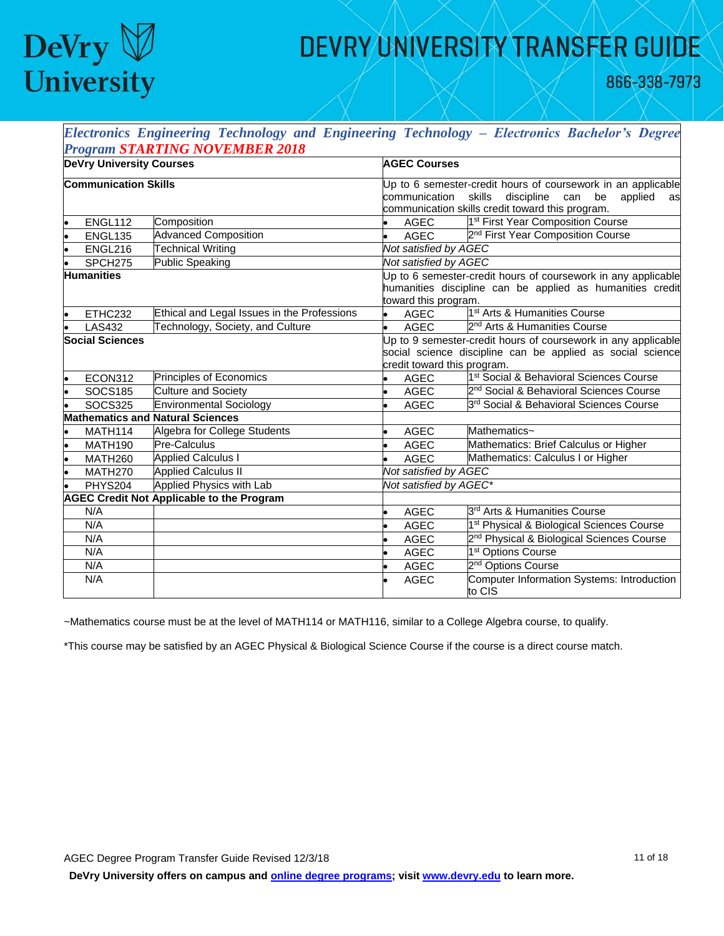

866-338-7973

| Electronics Engineering Technology and Engineering Technology - Electronics Bachelor's Degree |                                                  |                                                               |                             |                                                               |  |
|-----------------------------------------------------------------------------------------------|--------------------------------------------------|---------------------------------------------------------------|-----------------------------|---------------------------------------------------------------|--|
|                                                                                               | <b>Program STARTING NOVEMBER 2018</b>            |                                                               |                             |                                                               |  |
| <b>DeVry University Courses</b>                                                               |                                                  |                                                               | <b>AGEC Courses</b>         |                                                               |  |
| <b>Communication Skills</b>                                                                   |                                                  |                                                               |                             | Up to 6 semester-credit hours of coursework in an applicable  |  |
|                                                                                               |                                                  |                                                               | communication               | skills<br>discipline<br>can<br>be<br>applied<br>as            |  |
|                                                                                               |                                                  |                                                               |                             | communication skills credit toward this program.              |  |
| ENGL112                                                                                       | Composition                                      |                                                               | AGEC                        | 1 <sup>st</sup> First Year Composition Course                 |  |
| <b>ENGL135</b>                                                                                | <b>Advanced Composition</b>                      | $\bullet$                                                     | AGEC                        | 2 <sup>nd</sup> First Year Composition Course                 |  |
| ENGL216                                                                                       | <b>Technical Writing</b>                         |                                                               | Not satisfied by AGEC       |                                                               |  |
| SPCH275                                                                                       | <b>Public Speaking</b>                           |                                                               | Not satisfied by AGEC       |                                                               |  |
| <b>Humanities</b>                                                                             |                                                  |                                                               |                             | Up to 6 semester-credit hours of coursework in any applicable |  |
|                                                                                               |                                                  |                                                               |                             | humanities discipline can be applied as humanities credit     |  |
|                                                                                               |                                                  |                                                               | toward this program.        |                                                               |  |
| ETHC232                                                                                       | Ethical and Legal Issues in the Professions      | $\bullet$                                                     | <b>AGEC</b>                 | 1 <sup>st</sup> Arts & Humanities Course                      |  |
| <b>LAS432</b>                                                                                 | Technology, Society, and Culture                 | $\bullet$                                                     | AGEC                        | 2 <sup>nd</sup> Arts & Humanities Course                      |  |
| <b>Social Sciences</b>                                                                        |                                                  | Up to 9 semester-credit hours of coursework in any applicable |                             |                                                               |  |
|                                                                                               |                                                  |                                                               |                             | social science discipline can be applied as social science    |  |
|                                                                                               |                                                  |                                                               | credit toward this program. |                                                               |  |
| ECON312                                                                                       | Principles of Economics                          |                                                               | <b>AGEC</b>                 | 1 <sup>st</sup> Social & Behavioral Sciences Course           |  |
| <b>SOCS185</b>                                                                                | <b>Culture and Society</b>                       |                                                               | <b>AGEC</b>                 | 2 <sup>nd</sup> Social & Behavioral Sciences Course           |  |
| <b>SOCS325</b>                                                                                | <b>Environmental Sociology</b>                   |                                                               | <b>AGEC</b>                 | 3rd Social & Behavioral Sciences Course                       |  |
|                                                                                               | <b>Mathematics and Natural Sciences</b>          |                                                               |                             |                                                               |  |
| MATH114                                                                                       | Algebra for College Students                     |                                                               | <b>AGEC</b>                 | Mathematics~                                                  |  |
| MATH190                                                                                       | Pre-Calculus                                     |                                                               | <b>AGEC</b>                 | Mathematics: Brief Calculus or Higher                         |  |
| MATH260                                                                                       | <b>Applied Calculus I</b>                        |                                                               | <b>AGEC</b>                 | Mathematics: Calculus I or Higher                             |  |
| MATH270                                                                                       | <b>Applied Calculus II</b>                       |                                                               | Not satisfied by AGEC       |                                                               |  |
| PHYS204                                                                                       | Applied Physics with Lab                         |                                                               | Not satisfied by AGEC*      |                                                               |  |
|                                                                                               | <b>AGEC Credit Not Applicable to the Program</b> |                                                               |                             |                                                               |  |
| N/A                                                                                           |                                                  |                                                               | <b>AGEC</b>                 | 3 <sup>rd</sup> Arts & Humanities Course                      |  |
| N/A                                                                                           |                                                  |                                                               | <b>AGEC</b>                 | 1 <sup>st</sup> Physical & Biological Sciences Course         |  |
| N/A                                                                                           |                                                  |                                                               | <b>AGEC</b>                 | 2 <sup>nd</sup> Physical & Biological Sciences Course         |  |
| N/A                                                                                           |                                                  |                                                               | <b>AGEC</b>                 | 1 <sup>st</sup> Options Course                                |  |
| N/A                                                                                           |                                                  |                                                               | <b>AGEC</b>                 | 2 <sup>nd</sup> Options Course                                |  |
| N/A                                                                                           |                                                  |                                                               | <b>AGEC</b>                 | Computer Information Systems: Introduction<br>to CIS          |  |

~Mathematics course must be at the level of MATH114 or MATH116, similar to a College Algebra course, to qualify.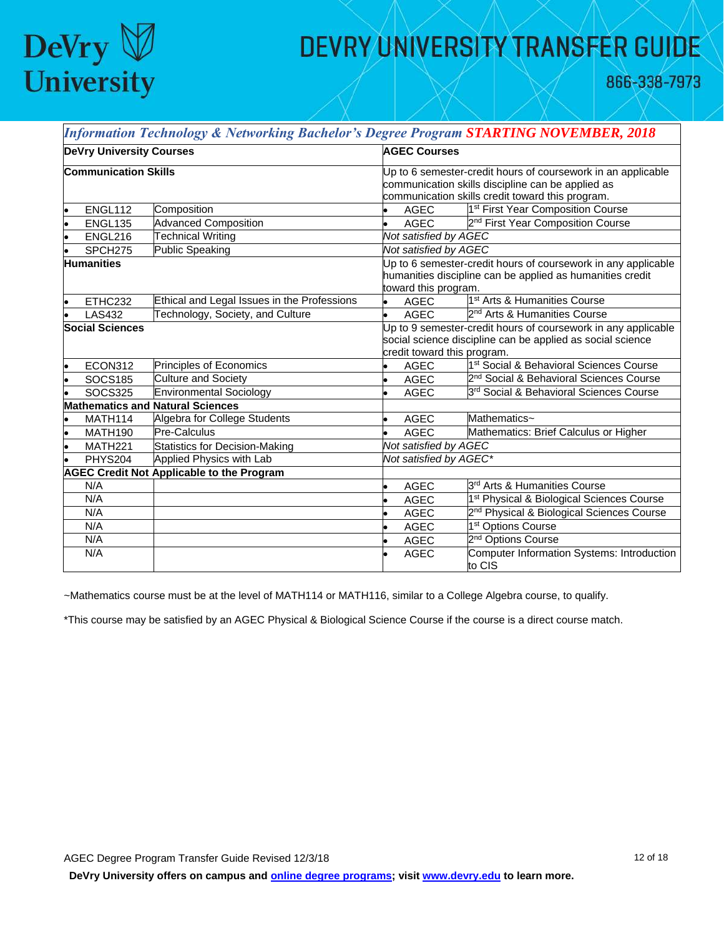

866-338-7973

|                   |                                 | <b>Information Technology &amp; Networking Bachelor's Degree Program STARTING NOVEMBER, 2018</b> |                                                                                                                                                                       |                                                       |  |  |  |
|-------------------|---------------------------------|--------------------------------------------------------------------------------------------------|-----------------------------------------------------------------------------------------------------------------------------------------------------------------------|-------------------------------------------------------|--|--|--|
|                   | <b>DeVry University Courses</b> |                                                                                                  |                                                                                                                                                                       | <b>AGEC Courses</b>                                   |  |  |  |
|                   | <b>Communication Skills</b>     |                                                                                                  | Up to 6 semester-credit hours of coursework in an applicable<br>communication skills discipline can be applied as<br>communication skills credit toward this program. |                                                       |  |  |  |
|                   | ENGL112                         | Composition                                                                                      | <b>AGEC</b>                                                                                                                                                           | 1 <sup>st</sup> First Year Composition Course         |  |  |  |
|                   | <b>ENGL135</b>                  | <b>Advanced Composition</b>                                                                      | <b>AGEC</b>                                                                                                                                                           | 2 <sup>nd</sup> First Year Composition Course         |  |  |  |
|                   | ENGL216                         | <b>Technical Writing</b>                                                                         | Not satisfied by AGEC                                                                                                                                                 |                                                       |  |  |  |
|                   | SPCH275                         | Public Speaking                                                                                  | Not satisfied by AGEC                                                                                                                                                 |                                                       |  |  |  |
| <b>Humanities</b> |                                 |                                                                                                  | Up to 6 semester-credit hours of coursework in any applicable<br>humanities discipline can be applied as humanities credit<br>toward this program.                    |                                                       |  |  |  |
|                   | ETHC232                         | Ethical and Legal Issues in the Professions                                                      | <b>AGEC</b>                                                                                                                                                           | 1 <sup>st</sup> Arts & Humanities Course              |  |  |  |
|                   | <b>LAS432</b>                   | Technology, Society, and Culture                                                                 | <b>AGEC</b>                                                                                                                                                           | 2 <sup>nd</sup> Arts & Humanities Course              |  |  |  |
|                   | <b>Social Sciences</b>          |                                                                                                  | Up to 9 semester-credit hours of coursework in any applicable<br>social science discipline can be applied as social science<br>credit toward this program.            |                                                       |  |  |  |
|                   | ECON312                         | Principles of Economics                                                                          | <b>AGEC</b>                                                                                                                                                           | 1st Social & Behavioral Sciences Course               |  |  |  |
|                   | <b>SOCS185</b>                  | <b>Culture and Society</b>                                                                       | <b>AGEC</b>                                                                                                                                                           | 2 <sup>nd</sup> Social & Behavioral Sciences Course   |  |  |  |
|                   | <b>SOCS325</b>                  | <b>Environmental Sociology</b>                                                                   | <b>AGEC</b>                                                                                                                                                           | 3rd Social & Behavioral Sciences Course               |  |  |  |
|                   |                                 | <b>Mathematics and Natural Sciences</b>                                                          |                                                                                                                                                                       |                                                       |  |  |  |
|                   | MATH114                         | Algebra for College Students                                                                     | <b>AGEC</b>                                                                                                                                                           | Mathematics~                                          |  |  |  |
|                   | <b>MATH190</b>                  | <b>Pre-Calculus</b>                                                                              | <b>AGEC</b>                                                                                                                                                           | Mathematics: Brief Calculus or Higher                 |  |  |  |
|                   | MATH221                         | <b>Statistics for Decision-Making</b>                                                            | Not satisfied by AGEC                                                                                                                                                 |                                                       |  |  |  |
|                   | <b>PHYS204</b>                  | Applied Physics with Lab                                                                         | Not satisfied by AGEC*                                                                                                                                                |                                                       |  |  |  |
|                   |                                 | <b>AGEC Credit Not Applicable to the Program</b>                                                 |                                                                                                                                                                       |                                                       |  |  |  |
|                   | N/A                             |                                                                                                  | <b>AGEC</b>                                                                                                                                                           | 3rd Arts & Humanities Course                          |  |  |  |
|                   | N/A                             |                                                                                                  | <b>AGEC</b>                                                                                                                                                           | 1 <sup>st</sup> Physical & Biological Sciences Course |  |  |  |
|                   | N/A                             |                                                                                                  | <b>AGEC</b>                                                                                                                                                           | 2 <sup>nd</sup> Physical & Biological Sciences Course |  |  |  |
|                   | N/A                             |                                                                                                  | <b>AGEC</b>                                                                                                                                                           | 1 <sup>st</sup> Options Course                        |  |  |  |
|                   | N/A                             |                                                                                                  | <b>AGEC</b>                                                                                                                                                           | 2 <sup>nd</sup> Options Course                        |  |  |  |
|                   | N/A                             |                                                                                                  | <b>AGEC</b>                                                                                                                                                           | Computer Information Systems: Introduction<br>to CIS  |  |  |  |

~Mathematics course must be at the level of MATH114 or MATH116, similar to a College Algebra course, to qualify.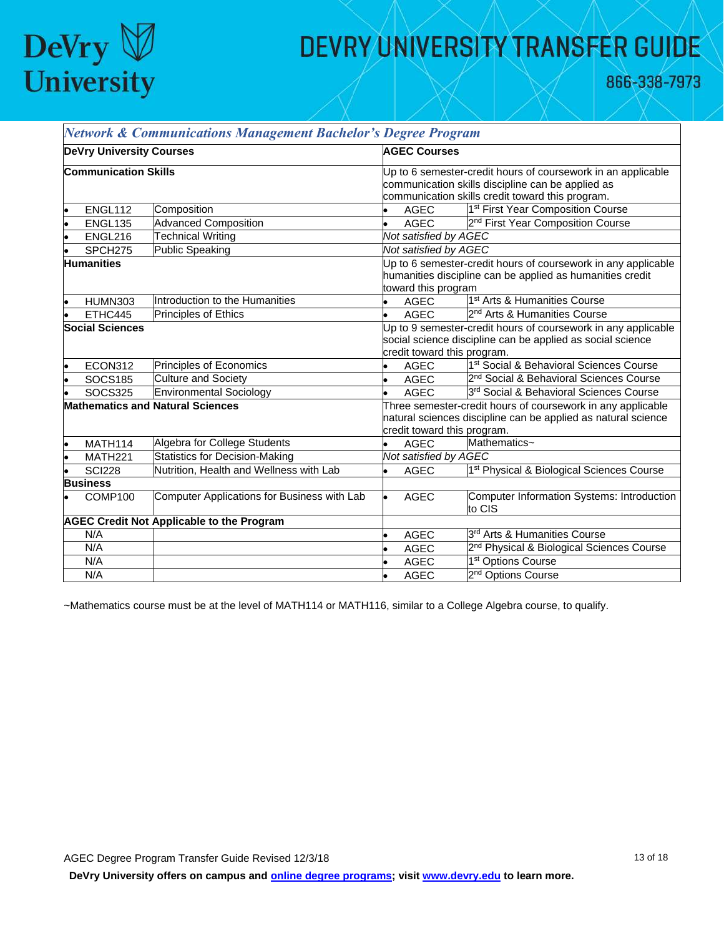

866-338-7973

| <b>DeVry University Courses</b> |                        |                                                  | <b>AGEC Courses</b>                                           |                                                               |  |
|---------------------------------|------------------------|--------------------------------------------------|---------------------------------------------------------------|---------------------------------------------------------------|--|
| <b>Communication Skills</b>     |                        |                                                  | Up to 6 semester-credit hours of coursework in an applicable  |                                                               |  |
|                                 |                        |                                                  | communication skills discipline can be applied as             |                                                               |  |
|                                 |                        |                                                  | communication skills credit toward this program.              |                                                               |  |
|                                 | ENGL112                | Composition                                      | AGEC                                                          | 1 <sup>st</sup> First Year Composition Course                 |  |
|                                 | <b>ENGL135</b>         | <b>Advanced Composition</b>                      | <b>AGEC</b>                                                   | 2 <sup>nd</sup> First Year Composition Course                 |  |
|                                 | ENGL216                | <b>Technical Writing</b>                         | Not satisfied by AGEC                                         |                                                               |  |
|                                 | SPCH <sub>275</sub>    | <b>Public Speaking</b>                           | Not satisfied by AGEC                                         |                                                               |  |
|                                 | <b>Humanities</b>      |                                                  |                                                               | Up to 6 semester-credit hours of coursework in any applicable |  |
|                                 |                        |                                                  | humanities discipline can be applied as humanities credit     |                                                               |  |
|                                 |                        |                                                  | toward this program                                           |                                                               |  |
|                                 | <b>HUMN303</b>         | Introduction to the Humanities                   | <b>AGEC</b>                                                   | 1 <sup>st</sup> Arts & Humanities Course                      |  |
|                                 | ETHC445                | Principles of Ethics                             | AGEC                                                          | 2 <sup>nd</sup> Arts & Humanities Course                      |  |
|                                 | <b>Social Sciences</b> |                                                  | Up to 9 semester-credit hours of coursework in any applicable |                                                               |  |
|                                 |                        |                                                  | social science discipline can be applied as social science    |                                                               |  |
|                                 |                        |                                                  | credit toward this program.                                   |                                                               |  |
| ۱.                              | <b>ECON312</b>         | Principles of Economics                          | <b>AGEC</b>                                                   | 1 <sup>st</sup> Social & Behavioral Sciences Course           |  |
|                                 | <b>SOCS185</b>         | <b>Culture and Society</b>                       | AGEC                                                          | 2 <sup>nd</sup> Social & Behavioral Sciences Course           |  |
|                                 | <b>SOCS325</b>         | Environmental Sociology                          | <b>AGEC</b>                                                   | 3rd Social & Behavioral Sciences Course                       |  |
|                                 |                        | <b>Mathematics and Natural Sciences</b>          | Three semester-credit hours of coursework in any applicable   |                                                               |  |
|                                 |                        |                                                  | natural sciences discipline can be applied as natural science |                                                               |  |
|                                 |                        |                                                  | credit toward this program.                                   |                                                               |  |
| le                              | MATH114                | Algebra for College Students                     | <b>AGEC</b>                                                   | Mathematics~                                                  |  |
| ۱o                              | MATH <sub>221</sub>    | <b>Statistics for Decision-Making</b>            | Not satisfied by AGEC                                         |                                                               |  |
|                                 | <b>SCI228</b>          | Nutrition, Health and Wellness with Lab          | <b>AGEC</b>                                                   | 1 <sup>st</sup> Physical & Biological Sciences Course         |  |
|                                 | <b>Business</b>        |                                                  |                                                               |                                                               |  |
|                                 | COMP100                | Computer Applications for Business with Lab      | <b>AGEC</b>                                                   | Computer Information Systems: Introduction<br>to CIS          |  |
|                                 |                        | <b>AGEC Credit Not Applicable to the Program</b> |                                                               |                                                               |  |
|                                 | N/A                    |                                                  | <b>AGEC</b>                                                   | 3 <sup>rd</sup> Arts & Humanities Course                      |  |
|                                 | N/A                    |                                                  | <b>AGEC</b>                                                   | 2 <sup>nd</sup> Physical & Biological Sciences Course         |  |
|                                 | N/A                    |                                                  | <b>AGEC</b>                                                   | 1 <sup>st</sup> Options Course                                |  |
|                                 | N/A                    |                                                  | <b>AGEC</b>                                                   | 2 <sup>nd</sup> Options Course                                |  |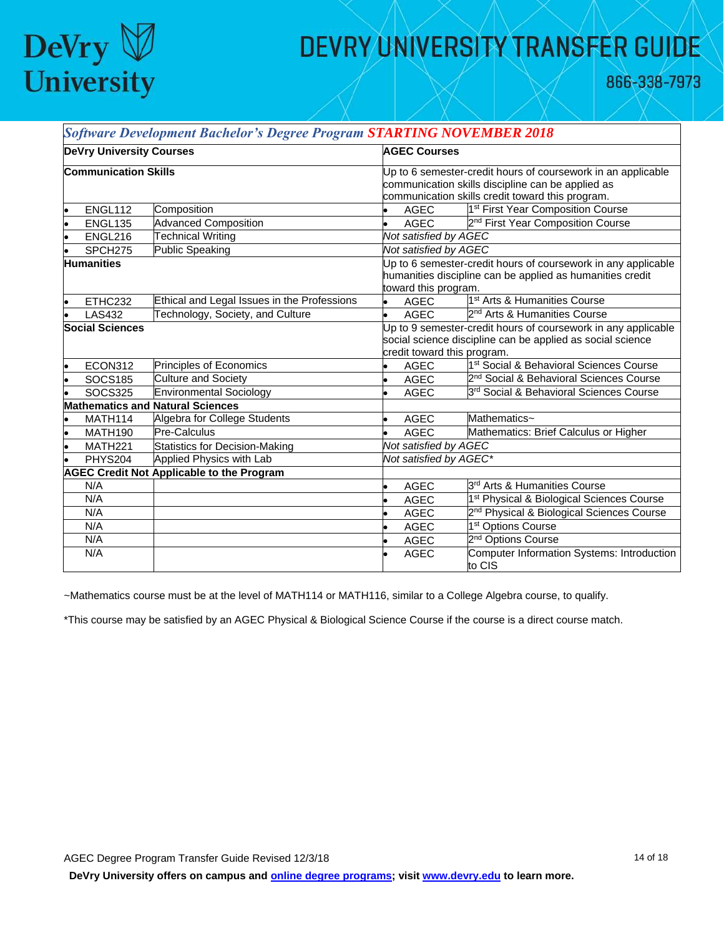

866-338-7973

٦

|                                 |                     | <b>Software Development Bachelor's Degree Program STARTING NOVEMBER 2018</b>                                                                               |                                                                                                                                                                       |                       |                                                       |
|---------------------------------|---------------------|------------------------------------------------------------------------------------------------------------------------------------------------------------|-----------------------------------------------------------------------------------------------------------------------------------------------------------------------|-----------------------|-------------------------------------------------------|
| <b>DeVry University Courses</b> |                     |                                                                                                                                                            | <b>AGEC Courses</b>                                                                                                                                                   |                       |                                                       |
| <b>Communication Skills</b>     |                     |                                                                                                                                                            | Up to 6 semester-credit hours of coursework in an applicable<br>communication skills discipline can be applied as<br>communication skills credit toward this program. |                       |                                                       |
| $\bullet$                       | ENGL112             | Composition                                                                                                                                                |                                                                                                                                                                       | AGEC                  | 1 <sup>st</sup> First Year Composition Course         |
| $\bullet$                       | <b>ENGL135</b>      | <b>Advanced Composition</b>                                                                                                                                |                                                                                                                                                                       | <b>AGEC</b>           | 2 <sup>nd</sup> First Year Composition Course         |
| l.                              | ENGL216             | <b>Technical Writing</b>                                                                                                                                   | Not satisfied by AGEC                                                                                                                                                 |                       |                                                       |
|                                 | SPCH275             | <b>Public Speaking</b>                                                                                                                                     | Not satisfied by AGEC                                                                                                                                                 |                       |                                                       |
| <b>Humanities</b>               |                     |                                                                                                                                                            | Up to 6 semester-credit hours of coursework in any applicable<br>humanities discipline can be applied as humanities credit<br>toward this program.                    |                       |                                                       |
| l.                              | ETHC232             | Ethical and Legal Issues in the Professions                                                                                                                |                                                                                                                                                                       | <b>AGEC</b>           | 1 <sup>st</sup> Arts & Humanities Course              |
|                                 | <b>LAS432</b>       | Technology, Society, and Culture                                                                                                                           |                                                                                                                                                                       | <b>AGEC</b>           | 2 <sup>nd</sup> Arts & Humanities Course              |
| <b>Social Sciences</b>          |                     | Up to 9 semester-credit hours of coursework in any applicable<br>social science discipline can be applied as social science<br>credit toward this program. |                                                                                                                                                                       |                       |                                                       |
| $\bullet$                       | ECON312             | Principles of Economics                                                                                                                                    |                                                                                                                                                                       | <b>AGEC</b>           | 1 <sup>st</sup> Social & Behavioral Sciences Course   |
| l.                              | <b>SOCS185</b>      | <b>Culture and Society</b>                                                                                                                                 |                                                                                                                                                                       | <b>AGEC</b>           | 2 <sup>nd</sup> Social & Behavioral Sciences Course   |
|                                 | <b>SOCS325</b>      | <b>Environmental Sociology</b>                                                                                                                             |                                                                                                                                                                       | <b>AGEC</b>           | 3rd Social & Behavioral Sciences Course               |
|                                 |                     | <b>Mathematics and Natural Sciences</b>                                                                                                                    |                                                                                                                                                                       |                       |                                                       |
|                                 | MATH114             | Algebra for College Students                                                                                                                               |                                                                                                                                                                       | <b>AGEC</b>           | Mathematics~                                          |
| l.                              | <b>MATH190</b>      | <b>Pre-Calculus</b>                                                                                                                                        |                                                                                                                                                                       | <b>AGEC</b>           | Mathematics: Brief Calculus or Higher                 |
|                                 | MATH <sub>221</sub> | Statistics for Decision-Making                                                                                                                             |                                                                                                                                                                       | Not satisfied by AGEC |                                                       |
|                                 | <b>PHYS204</b>      | Applied Physics with Lab                                                                                                                                   | Not satisfied by AGEC*                                                                                                                                                |                       |                                                       |
|                                 |                     | <b>AGEC Credit Not Applicable to the Program</b>                                                                                                           |                                                                                                                                                                       |                       |                                                       |
|                                 | N/A                 |                                                                                                                                                            |                                                                                                                                                                       | <b>AGEC</b>           | 3rd Arts & Humanities Course                          |
|                                 | N/A                 |                                                                                                                                                            |                                                                                                                                                                       | <b>AGEC</b>           | 1 <sup>st</sup> Physical & Biological Sciences Course |
|                                 | N/A                 |                                                                                                                                                            |                                                                                                                                                                       | <b>AGEC</b>           | 2 <sup>nd</sup> Physical & Biological Sciences Course |
|                                 | N/A                 |                                                                                                                                                            |                                                                                                                                                                       | <b>AGEC</b>           | 1 <sup>st</sup> Options Course                        |
|                                 | N/A                 |                                                                                                                                                            |                                                                                                                                                                       | <b>AGEC</b>           | 2 <sup>nd</sup> Options Course                        |
|                                 | N/A                 |                                                                                                                                                            |                                                                                                                                                                       | <b>AGEC</b>           | Computer Information Systems: Introduction<br>to CIS  |

~Mathematics course must be at the level of MATH114 or MATH116, similar to a College Algebra course, to qualify.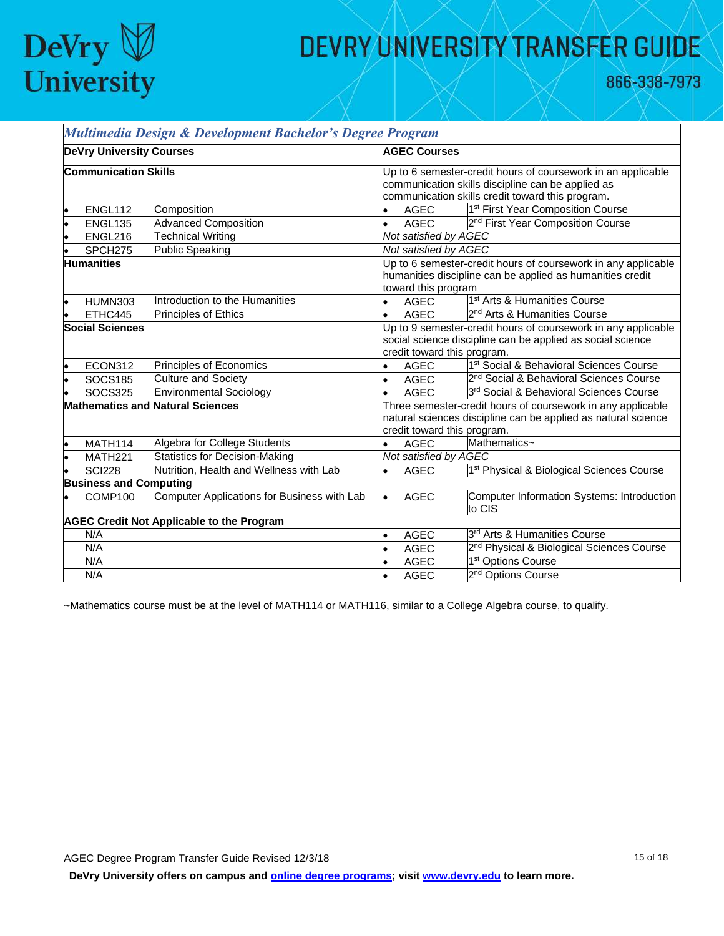

866-338-7973

| <b>DeVry University Courses</b>                  |                             |                                             | <b>AGEC Courses</b>                                           |                                                               |  |  |
|--------------------------------------------------|-----------------------------|---------------------------------------------|---------------------------------------------------------------|---------------------------------------------------------------|--|--|
|                                                  |                             |                                             |                                                               |                                                               |  |  |
|                                                  | <b>Communication Skills</b> |                                             |                                                               | Up to 6 semester-credit hours of coursework in an applicable  |  |  |
|                                                  |                             |                                             | communication skills discipline can be applied as             |                                                               |  |  |
|                                                  |                             |                                             | communication skills credit toward this program.              |                                                               |  |  |
|                                                  | ENGL112                     | Composition                                 | AGEC                                                          | 1 <sup>st</sup> First Year Composition Course                 |  |  |
|                                                  | <b>ENGL135</b>              | <b>Advanced Composition</b>                 | <b>AGEC</b>                                                   | 2 <sup>nd</sup> First Year Composition Course                 |  |  |
|                                                  | ENGL216                     | <b>Technical Writing</b>                    | Not satisfied by AGEC                                         |                                                               |  |  |
|                                                  | SPCH <sub>275</sub>         | <b>Public Speaking</b>                      | Not satisfied by AGEC                                         |                                                               |  |  |
|                                                  | <b>Humanities</b>           |                                             |                                                               | Up to 6 semester-credit hours of coursework in any applicable |  |  |
|                                                  |                             |                                             | humanities discipline can be applied as humanities credit     |                                                               |  |  |
|                                                  |                             |                                             | toward this program                                           |                                                               |  |  |
|                                                  | <b>HUMN303</b>              | Introduction to the Humanities              | <b>AGEC</b>                                                   | 1 <sup>st</sup> Arts & Humanities Course                      |  |  |
|                                                  | ETHC445                     | <b>Principles of Ethics</b>                 | <b>AGEC</b>                                                   | 2 <sup>nd</sup> Arts & Humanities Course                      |  |  |
|                                                  | <b>Social Sciences</b>      |                                             | Up to 9 semester-credit hours of coursework in any applicable |                                                               |  |  |
|                                                  |                             |                                             | social science discipline can be applied as social science    |                                                               |  |  |
|                                                  |                             |                                             | credit toward this program.                                   |                                                               |  |  |
|                                                  | ECON312                     | Principles of Economics                     | <b>AGEC</b><br>$\bullet$                                      | 1 <sup>st</sup> Social & Behavioral Sciences Course           |  |  |
|                                                  | <b>SOCS185</b>              | <b>Culture and Society</b>                  | <b>AGEC</b>                                                   | 2 <sup>nd</sup> Social & Behavioral Sciences Course           |  |  |
|                                                  | <b>SOCS325</b>              | <b>Environmental Sociology</b>              | <b>AGEC</b>                                                   | 3rd Social & Behavioral Sciences Course                       |  |  |
|                                                  |                             | <b>Mathematics and Natural Sciences</b>     | Three semester-credit hours of coursework in any applicable   |                                                               |  |  |
|                                                  |                             |                                             | natural sciences discipline can be applied as natural science |                                                               |  |  |
|                                                  |                             |                                             | credit toward this program.                                   |                                                               |  |  |
| le                                               | MATH114                     | Algebra for College Students                | <b>AGEC</b><br>$\bullet$                                      | Mathematics~                                                  |  |  |
|                                                  | <b>MATH221</b>              | Statistics for Decision-Making              | Not satisfied by AGEC                                         |                                                               |  |  |
|                                                  | <b>SCI228</b>               | Nutrition, Health and Wellness with Lab     | <b>AGEC</b>                                                   | 1 <sup>st</sup> Physical & Biological Sciences Course         |  |  |
| <b>Business and Computing</b>                    |                             |                                             |                                                               |                                                               |  |  |
|                                                  | COMP100                     | Computer Applications for Business with Lab | <b>AGEC</b>                                                   | Computer Information Systems: Introduction                    |  |  |
|                                                  |                             |                                             |                                                               | to CIS                                                        |  |  |
| <b>AGEC Credit Not Applicable to the Program</b> |                             |                                             |                                                               |                                                               |  |  |
|                                                  | N/A                         |                                             | <b>AGEC</b>                                                   | 3 <sup>rd</sup> Arts & Humanities Course                      |  |  |
|                                                  | N/A                         |                                             | <b>AGEC</b>                                                   | 2 <sup>nd</sup> Physical & Biological Sciences Course         |  |  |
|                                                  | N/A                         |                                             | <b>AGEC</b>                                                   | 1 <sup>st</sup> Options Course                                |  |  |
|                                                  | N/A                         |                                             | <b>AGEC</b>                                                   | 2 <sup>nd</sup> Options Course                                |  |  |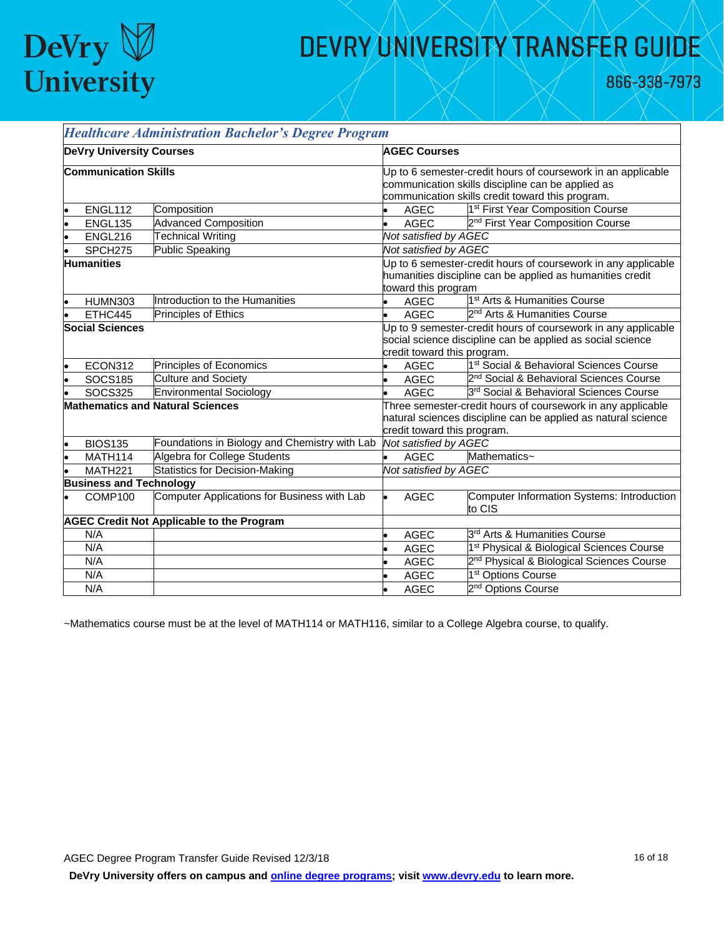

866-338-7973

┑

|                                                  |                                | <b>Healthcare Administration Bachelor's Degree Program</b> |                                                                                                                                                             |                                                                                                                                                                       |                                                       |  |
|--------------------------------------------------|--------------------------------|------------------------------------------------------------|-------------------------------------------------------------------------------------------------------------------------------------------------------------|-----------------------------------------------------------------------------------------------------------------------------------------------------------------------|-------------------------------------------------------|--|
| <b>DeVry University Courses</b>                  |                                |                                                            | <b>AGEC Courses</b>                                                                                                                                         |                                                                                                                                                                       |                                                       |  |
| <b>Communication Skills</b>                      |                                |                                                            |                                                                                                                                                             | Up to 6 semester-credit hours of coursework in an applicable<br>communication skills discipline can be applied as<br>communication skills credit toward this program. |                                                       |  |
| lo                                               | ENGL112                        | Composition                                                |                                                                                                                                                             | <b>AGEC</b>                                                                                                                                                           | 1 <sup>st</sup> First Year Composition Course         |  |
|                                                  | <b>ENGL135</b>                 | <b>Advanced Composition</b>                                | l.                                                                                                                                                          | <b>AGEC</b>                                                                                                                                                           | 2 <sup>nd</sup> First Year Composition Course         |  |
|                                                  | ENGL216                        | <b>Technical Writing</b>                                   |                                                                                                                                                             | Not satisfied by AGEC                                                                                                                                                 |                                                       |  |
|                                                  | SPCH <sub>275</sub>            | Public Speaking                                            |                                                                                                                                                             | Not satisfied by AGEC                                                                                                                                                 |                                                       |  |
| <b>Humanities</b>                                |                                |                                                            | Up to 6 semester-credit hours of coursework in any applicable<br>humanities discipline can be applied as humanities credit<br>toward this program           |                                                                                                                                                                       |                                                       |  |
|                                                  | HUMN303                        | Introduction to the Humanities                             |                                                                                                                                                             | <b>AGEC</b>                                                                                                                                                           | 1 <sup>st</sup> Arts & Humanities Course              |  |
|                                                  | ETHC445                        | Principles of Ethics                                       |                                                                                                                                                             | <b>AGEC</b>                                                                                                                                                           | 2 <sup>nd</sup> Arts & Humanities Course              |  |
| <b>Social Sciences</b>                           |                                |                                                            | Up to 9 semester-credit hours of coursework in any applicable<br>social science discipline can be applied as social science<br>credit toward this program.  |                                                                                                                                                                       |                                                       |  |
| $\bullet$                                        | ECON312                        | Principles of Economics                                    |                                                                                                                                                             | <b>AGEC</b>                                                                                                                                                           | 1 <sup>st</sup> Social & Behavioral Sciences Course   |  |
| $\bullet$                                        | <b>SOCS185</b>                 | <b>Culture and Society</b>                                 | l.                                                                                                                                                          | <b>AGEC</b>                                                                                                                                                           | 2 <sup>nd</sup> Social & Behavioral Sciences Course   |  |
|                                                  | <b>SOCS325</b>                 | <b>Environmental Sociology</b>                             | l.                                                                                                                                                          | <b>AGEC</b>                                                                                                                                                           | 3rd Social & Behavioral Sciences Course               |  |
| <b>Mathematics and Natural Sciences</b>          |                                |                                                            | Three semester-credit hours of coursework in any applicable<br>natural sciences discipline can be applied as natural science<br>credit toward this program. |                                                                                                                                                                       |                                                       |  |
|                                                  | <b>BIOS135</b>                 | Foundations in Biology and Chemistry with Lab              |                                                                                                                                                             | Not satisfied by AGEC                                                                                                                                                 |                                                       |  |
|                                                  | MATH114                        | Algebra for College Students                               |                                                                                                                                                             | <b>AGEC</b>                                                                                                                                                           | Mathematics~                                          |  |
|                                                  | MATH221                        | Statistics for Decision-Making                             |                                                                                                                                                             | Not satisfied by AGEC                                                                                                                                                 |                                                       |  |
|                                                  | <b>Business and Technology</b> |                                                            |                                                                                                                                                             |                                                                                                                                                                       |                                                       |  |
|                                                  | COMP100                        | Computer Applications for Business with Lab                |                                                                                                                                                             | <b>AGEC</b>                                                                                                                                                           | Computer Information Systems: Introduction<br>to CIS  |  |
| <b>AGEC Credit Not Applicable to the Program</b> |                                |                                                            |                                                                                                                                                             |                                                                                                                                                                       |                                                       |  |
|                                                  | N/A                            |                                                            |                                                                                                                                                             | <b>AGEC</b>                                                                                                                                                           | l3 <sup>rd</sup> Arts & Humanities Course             |  |
|                                                  | N/A                            |                                                            |                                                                                                                                                             | <b>AGEC</b>                                                                                                                                                           | 1 <sup>st</sup> Physical & Biological Sciences Course |  |
|                                                  | N/A                            |                                                            |                                                                                                                                                             | <b>AGEC</b>                                                                                                                                                           | 2 <sup>nd</sup> Physical & Biological Sciences Course |  |
|                                                  | N/A                            |                                                            |                                                                                                                                                             | <b>AGEC</b>                                                                                                                                                           | 1 <sup>st</sup> Options Course                        |  |
|                                                  | N/A                            |                                                            |                                                                                                                                                             | <b>AGEC</b>                                                                                                                                                           | 2 <sup>nd</sup> Options Course                        |  |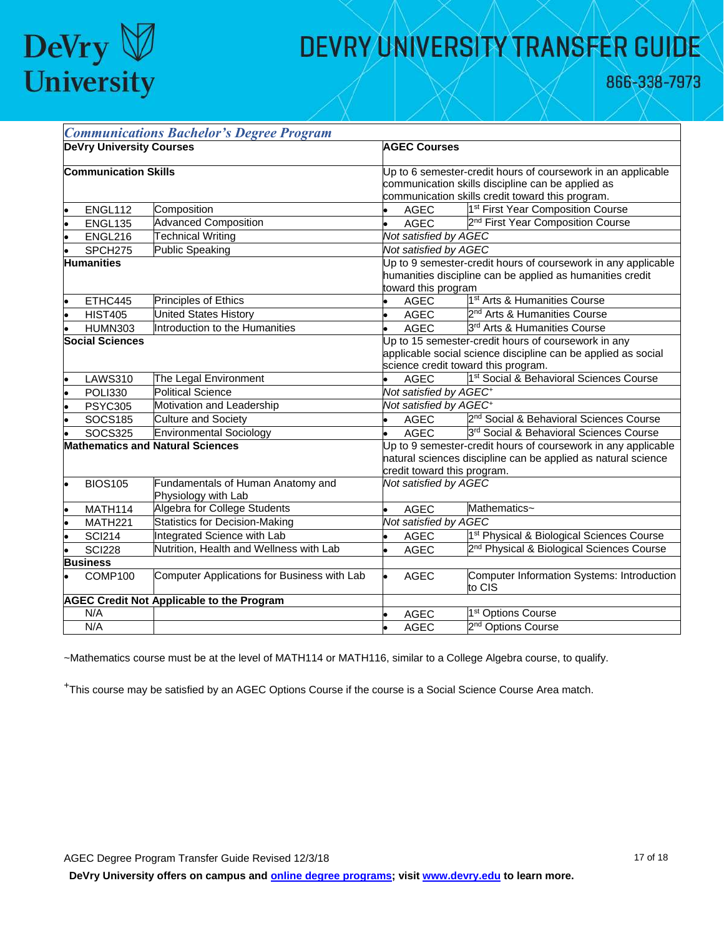

866-338-7973

|                                         |                             | <b>Communications Bachelor's Degree Program</b>          |                                                                                                                                                               |                                                              |                                                       |  |
|-----------------------------------------|-----------------------------|----------------------------------------------------------|---------------------------------------------------------------------------------------------------------------------------------------------------------------|--------------------------------------------------------------|-------------------------------------------------------|--|
| <b>DeVry University Courses</b>         |                             |                                                          | <b>AGEC Courses</b>                                                                                                                                           |                                                              |                                                       |  |
|                                         | <b>Communication Skills</b> |                                                          |                                                                                                                                                               | Up to 6 semester-credit hours of coursework in an applicable |                                                       |  |
|                                         |                             |                                                          |                                                                                                                                                               |                                                              | communication skills discipline can be applied as     |  |
|                                         |                             |                                                          | communication skills credit toward this program.                                                                                                              |                                                              |                                                       |  |
|                                         | ENGL112                     | Composition                                              |                                                                                                                                                               | <b>AGEC</b>                                                  | 1 <sup>st</sup> First Year Composition Course         |  |
|                                         | <b>ENGL135</b>              | <b>Advanced Composition</b>                              |                                                                                                                                                               | <b>AGEC</b>                                                  | 2 <sup>nd</sup> First Year Composition Course         |  |
|                                         | ENGL216                     | <b>Technical Writing</b>                                 |                                                                                                                                                               | Not satisfied by AGEC                                        |                                                       |  |
|                                         | SPCH <sub>275</sub>         | Public Speaking                                          | Not satisfied by AGEC                                                                                                                                         |                                                              |                                                       |  |
| <b>Humanities</b>                       |                             |                                                          | Up to 9 semester-credit hours of coursework in any applicable<br>humanities discipline can be applied as humanities credit<br>toward this program             |                                                              |                                                       |  |
|                                         | ETHC445                     | Principles of Ethics                                     |                                                                                                                                                               | <b>AGEC</b>                                                  | 1 <sup>st</sup> Arts & Humanities Course              |  |
|                                         | <b>HIST405</b>              | <b>United States History</b>                             |                                                                                                                                                               | <b>AGEC</b>                                                  | 2 <sup>nd</sup> Arts & Humanities Course              |  |
|                                         | <b>HUMN303</b>              | Introduction to the Humanities                           |                                                                                                                                                               | <b>AGEC</b>                                                  | 3 <sup>rd</sup> Arts & Humanities Course              |  |
| <b>Social Sciences</b>                  |                             |                                                          | Up to 15 semester-credit hours of coursework in any<br>applicable social science discipline can be applied as social<br>science credit toward this program.   |                                                              |                                                       |  |
|                                         | <b>LAWS310</b>              | The Legal Environment                                    |                                                                                                                                                               | <b>AGEC</b>                                                  | 1 <sup>st</sup> Social & Behavioral Sciences Course   |  |
|                                         | <b>POLI330</b>              | <b>Political Science</b>                                 |                                                                                                                                                               | Not satisfied by AGEC <sup>+</sup>                           |                                                       |  |
| $\bullet$                               | <b>PSYC305</b>              | Motivation and Leadership                                |                                                                                                                                                               | Not satisfied by AGEC <sup>+</sup>                           |                                                       |  |
| $\bullet$                               | <b>SOCS185</b>              | Culture and Society                                      |                                                                                                                                                               | <b>AGEC</b>                                                  | 2 <sup>nd</sup> Social & Behavioral Sciences Course   |  |
| $\bullet$                               | <b>SOCS325</b>              | <b>Environmental Sociology</b>                           |                                                                                                                                                               | <b>AGEC</b>                                                  | 3rd Social & Behavioral Sciences Course               |  |
| <b>Mathematics and Natural Sciences</b> |                             |                                                          | Up to 9 semester-credit hours of coursework in any applicable<br>natural sciences discipline can be applied as natural science<br>credit toward this program. |                                                              |                                                       |  |
|                                         | <b>BIOS105</b>              | Fundamentals of Human Anatomy and<br>Physiology with Lab |                                                                                                                                                               | Not satisfied by AGEC                                        |                                                       |  |
|                                         | MATH114                     | Algebra for College Students                             |                                                                                                                                                               | <b>AGEC</b>                                                  | Mathematics~                                          |  |
| $\bullet$                               | <b>MATH221</b>              | Statistics for Decision-Making                           |                                                                                                                                                               | Not satisfied by AGEC                                        |                                                       |  |
| $\bullet$                               | <b>SCI214</b>               | Integrated Science with Lab                              |                                                                                                                                                               | <b>AGEC</b>                                                  | 1 <sup>st</sup> Physical & Biological Sciences Course |  |
|                                         | <b>SCI228</b>               | Nutrition, Health and Wellness with Lab                  |                                                                                                                                                               | <b>AGEC</b>                                                  | 2 <sup>nd</sup> Physical & Biological Sciences Course |  |
| <b>Business</b>                         |                             |                                                          |                                                                                                                                                               |                                                              |                                                       |  |
|                                         | COMP100                     | Computer Applications for Business with Lab              |                                                                                                                                                               | <b>AGEC</b>                                                  | Computer Information Systems: Introduction<br>to CIS  |  |
|                                         |                             | <b>AGEC Credit Not Applicable to the Program</b>         |                                                                                                                                                               |                                                              |                                                       |  |
|                                         | N/A                         |                                                          |                                                                                                                                                               | <b>AGEC</b>                                                  | 1 <sup>st</sup> Options Course                        |  |
|                                         | N/A                         |                                                          |                                                                                                                                                               | <b>AGEC</b>                                                  | 2 <sup>nd</sup> Options Course                        |  |

~Mathematics course must be at the level of MATH114 or MATH116, similar to a College Algebra course, to qualify.

+This course may be satisfied by an AGEC Options Course if the course is a Social Science Course Area match.